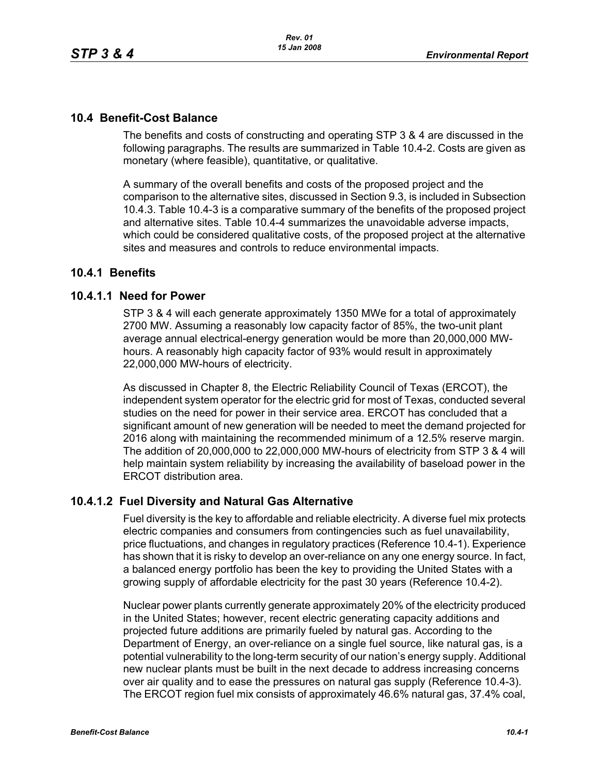### **10.4 Benefit-Cost Balance**

The benefits and costs of constructing and operating STP 3 & 4 are discussed in the following paragraphs. The results are summarized in Table 10.4-2. Costs are given as monetary (where feasible), quantitative, or qualitative.

A summary of the overall benefits and costs of the proposed project and the comparison to the alternative sites, discussed in Section 9.3, is included in Subsection 10.4.3. Table 10.4-3 is a comparative summary of the benefits of the proposed project and alternative sites. Table 10.4-4 summarizes the unavoidable adverse impacts, which could be considered qualitative costs, of the proposed project at the alternative sites and measures and controls to reduce environmental impacts.

### **10.4.1 Benefits**

### **10.4.1.1 Need for Power**

STP 3 & 4 will each generate approximately 1350 MWe for a total of approximately 2700 MW. Assuming a reasonably low capacity factor of 85%, the two-unit plant average annual electrical-energy generation would be more than 20,000,000 MWhours. A reasonably high capacity factor of 93% would result in approximately 22,000,000 MW-hours of electricity.

As discussed in Chapter 8, the Electric Reliability Council of Texas (ERCOT), the independent system operator for the electric grid for most of Texas, conducted several studies on the need for power in their service area. ERCOT has concluded that a significant amount of new generation will be needed to meet the demand projected for 2016 along with maintaining the recommended minimum of a 12.5% reserve margin. The addition of 20,000,000 to 22,000,000 MW-hours of electricity from STP 3 & 4 will help maintain system reliability by increasing the availability of baseload power in the ERCOT distribution area.

### **10.4.1.2 Fuel Diversity and Natural Gas Alternative**

Fuel diversity is the key to affordable and reliable electricity. A diverse fuel mix protects electric companies and consumers from contingencies such as fuel unavailability, price fluctuations, and changes in regulatory practices (Reference 10.4-1). Experience has shown that it is risky to develop an over-reliance on any one energy source. In fact, a balanced energy portfolio has been the key to providing the United States with a growing supply of affordable electricity for the past 30 years (Reference 10.4-2).

Nuclear power plants currently generate approximately 20% of the electricity produced in the United States; however, recent electric generating capacity additions and projected future additions are primarily fueled by natural gas. According to the Department of Energy, an over-reliance on a single fuel source, like natural gas, is a potential vulnerability to the long-term security of our nation's energy supply. Additional new nuclear plants must be built in the next decade to address increasing concerns over air quality and to ease the pressures on natural gas supply (Reference 10.4-3). The ERCOT region fuel mix consists of approximately 46.6% natural gas, 37.4% coal,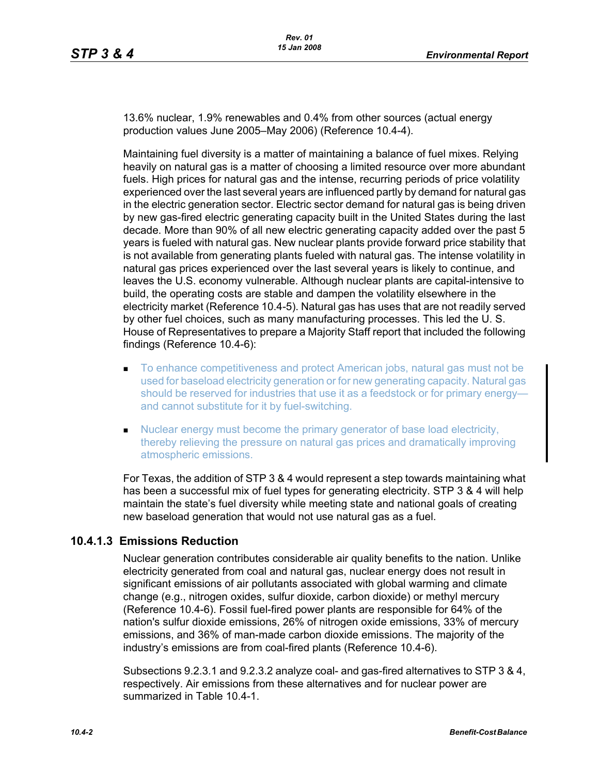13.6% nuclear, 1.9% renewables and 0.4% from other sources (actual energy production values June 2005–May 2006) (Reference 10.4-4).

Maintaining fuel diversity is a matter of maintaining a balance of fuel mixes. Relying heavily on natural gas is a matter of choosing a limited resource over more abundant fuels. High prices for natural gas and the intense, recurring periods of price volatility experienced over the last several years are influenced partly by demand for natural gas in the electric generation sector. Electric sector demand for natural gas is being driven by new gas-fired electric generating capacity built in the United States during the last decade. More than 90% of all new electric generating capacity added over the past 5 years is fueled with natural gas. New nuclear plants provide forward price stability that is not available from generating plants fueled with natural gas. The intense volatility in natural gas prices experienced over the last several years is likely to continue, and leaves the U.S. economy vulnerable. Although nuclear plants are capital-intensive to build, the operating costs are stable and dampen the volatility elsewhere in the electricity market (Reference 10.4-5). Natural gas has uses that are not readily served by other fuel choices, such as many manufacturing processes. This led the U. S. House of Representatives to prepare a Majority Staff report that included the following findings (Reference 10.4-6):

- To enhance competitiveness and protect American jobs, natural gas must not be used for baseload electricity generation or for new generating capacity. Natural gas should be reserved for industries that use it as a feedstock or for primary energy and cannot substitute for it by fuel-switching.
- Nuclear energy must become the primary generator of base load electricity, thereby relieving the pressure on natural gas prices and dramatically improving atmospheric emissions.

For Texas, the addition of STP 3 & 4 would represent a step towards maintaining what has been a successful mix of fuel types for generating electricity. STP 3 & 4 will help maintain the state's fuel diversity while meeting state and national goals of creating new baseload generation that would not use natural gas as a fuel.

## **10.4.1.3 Emissions Reduction**

Nuclear generation contributes considerable air quality benefits to the nation. Unlike electricity generated from coal and natural gas, nuclear energy does not result in significant emissions of air pollutants associated with global warming and climate change (e.g., nitrogen oxides, sulfur dioxide, carbon dioxide) or methyl mercury (Reference 10.4-6). Fossil fuel-fired power plants are responsible for 64% of the nation's sulfur dioxide emissions, 26% of nitrogen oxide emissions, 33% of mercury emissions, and 36% of man-made carbon dioxide emissions. The majority of the industry's emissions are from coal-fired plants (Reference 10.4-6).

Subsections 9.2.3.1 and 9.2.3.2 analyze coal- and gas-fired alternatives to STP 3 & 4, respectively. Air emissions from these alternatives and for nuclear power are summarized in Table 10.4-1.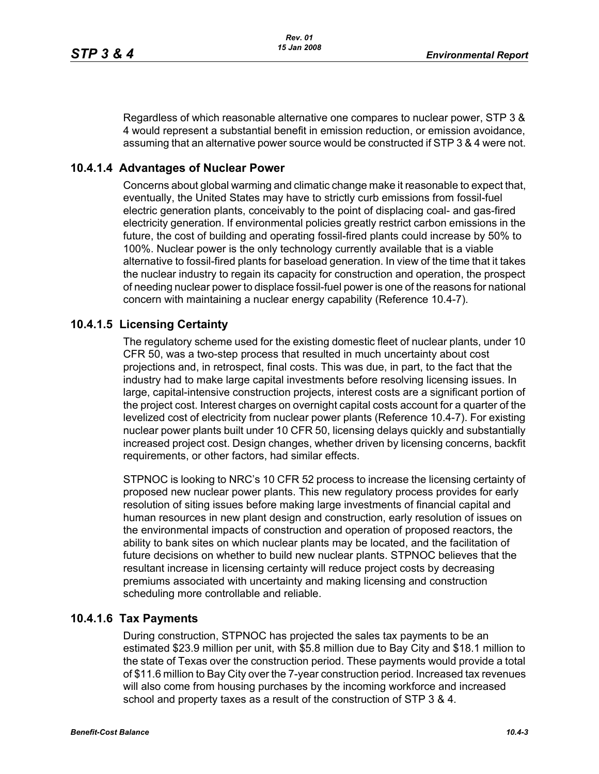Regardless of which reasonable alternative one compares to nuclear power, STP 3 & 4 would represent a substantial benefit in emission reduction, or emission avoidance, assuming that an alternative power source would be constructed if STP 3 & 4 were not.

## **10.4.1.4 Advantages of Nuclear Power**

Concerns about global warming and climatic change make it reasonable to expect that, eventually, the United States may have to strictly curb emissions from fossil-fuel electric generation plants, conceivably to the point of displacing coal- and gas-fired electricity generation. If environmental policies greatly restrict carbon emissions in the future, the cost of building and operating fossil-fired plants could increase by 50% to 100%. Nuclear power is the only technology currently available that is a viable alternative to fossil-fired plants for baseload generation. In view of the time that it takes the nuclear industry to regain its capacity for construction and operation, the prospect of needing nuclear power to displace fossil-fuel power is one of the reasons for national concern with maintaining a nuclear energy capability (Reference 10.4-7).

## **10.4.1.5 Licensing Certainty**

The regulatory scheme used for the existing domestic fleet of nuclear plants, under 10 CFR 50, was a two-step process that resulted in much uncertainty about cost projections and, in retrospect, final costs. This was due, in part, to the fact that the industry had to make large capital investments before resolving licensing issues. In large, capital-intensive construction projects, interest costs are a significant portion of the project cost. Interest charges on overnight capital costs account for a quarter of the levelized cost of electricity from nuclear power plants (Reference 10.4-7). For existing nuclear power plants built under 10 CFR 50, licensing delays quickly and substantially increased project cost. Design changes, whether driven by licensing concerns, backfit requirements, or other factors, had similar effects.

STPNOC is looking to NRC's 10 CFR 52 process to increase the licensing certainty of proposed new nuclear power plants. This new regulatory process provides for early resolution of siting issues before making large investments of financial capital and human resources in new plant design and construction, early resolution of issues on the environmental impacts of construction and operation of proposed reactors, the ability to bank sites on which nuclear plants may be located, and the facilitation of future decisions on whether to build new nuclear plants. STPNOC believes that the resultant increase in licensing certainty will reduce project costs by decreasing premiums associated with uncertainty and making licensing and construction scheduling more controllable and reliable.

## **10.4.1.6 Tax Payments**

During construction, STPNOC has projected the sales tax payments to be an estimated \$23.9 million per unit, with \$5.8 million due to Bay City and \$18.1 million to the state of Texas over the construction period. These payments would provide a total of \$11.6 million to Bay City over the 7-year construction period. Increased tax revenues will also come from housing purchases by the incoming workforce and increased school and property taxes as a result of the construction of STP 3 & 4.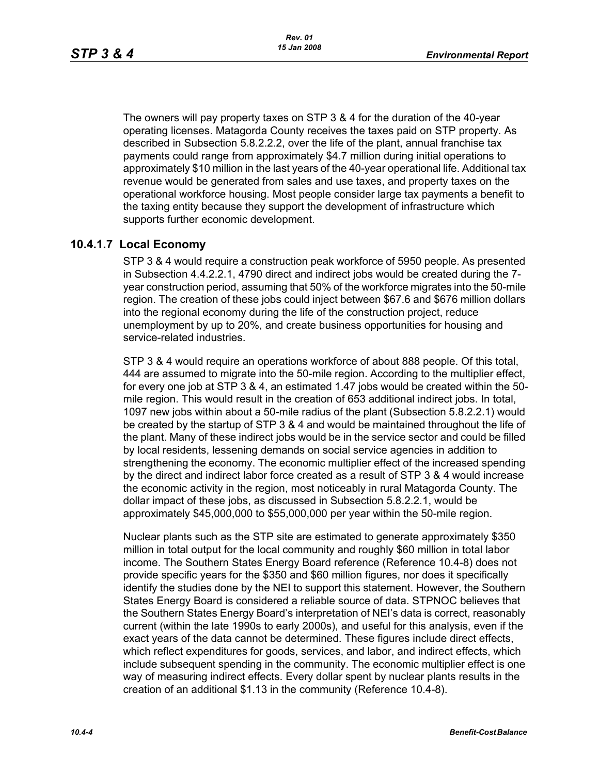The owners will pay property taxes on STP 3 & 4 for the duration of the 40-year operating licenses. Matagorda County receives the taxes paid on STP property. As described in Subsection 5.8.2.2.2, over the life of the plant, annual franchise tax payments could range from approximately \$4.7 million during initial operations to approximately \$10 million in the last years of the 40-year operational life. Additional tax revenue would be generated from sales and use taxes, and property taxes on the operational workforce housing. Most people consider large tax payments a benefit to the taxing entity because they support the development of infrastructure which supports further economic development.

## **10.4.1.7 Local Economy**

STP 3 & 4 would require a construction peak workforce of 5950 people. As presented in Subsection 4.4.2.2.1, 4790 direct and indirect jobs would be created during the 7 year construction period, assuming that 50% of the workforce migrates into the 50-mile region. The creation of these jobs could inject between \$67.6 and \$676 million dollars into the regional economy during the life of the construction project, reduce unemployment by up to 20%, and create business opportunities for housing and service-related industries.

STP 3 & 4 would require an operations workforce of about 888 people. Of this total, 444 are assumed to migrate into the 50-mile region. According to the multiplier effect, for every one job at STP 3 & 4, an estimated 1.47 jobs would be created within the 50 mile region. This would result in the creation of 653 additional indirect jobs. In total, 1097 new jobs within about a 50-mile radius of the plant (Subsection 5.8.2.2.1) would be created by the startup of STP 3 & 4 and would be maintained throughout the life of the plant. Many of these indirect jobs would be in the service sector and could be filled by local residents, lessening demands on social service agencies in addition to strengthening the economy. The economic multiplier effect of the increased spending by the direct and indirect labor force created as a result of STP 3 & 4 would increase the economic activity in the region, most noticeably in rural Matagorda County. The dollar impact of these jobs, as discussed in Subsection 5.8.2.2.1, would be approximately \$45,000,000 to \$55,000,000 per year within the 50-mile region.

Nuclear plants such as the STP site are estimated to generate approximately \$350 million in total output for the local community and roughly \$60 million in total labor income. The Southern States Energy Board reference (Reference 10.4-8) does not provide specific years for the \$350 and \$60 million figures, nor does it specifically identify the studies done by the NEI to support this statement. However, the Southern States Energy Board is considered a reliable source of data. STPNOC believes that the Southern States Energy Board's interpretation of NEI's data is correct, reasonably current (within the late 1990s to early 2000s), and useful for this analysis, even if the exact years of the data cannot be determined. These figures include direct effects, which reflect expenditures for goods, services, and labor, and indirect effects, which include subsequent spending in the community. The economic multiplier effect is one way of measuring indirect effects. Every dollar spent by nuclear plants results in the creation of an additional \$1.13 in the community (Reference 10.4-8).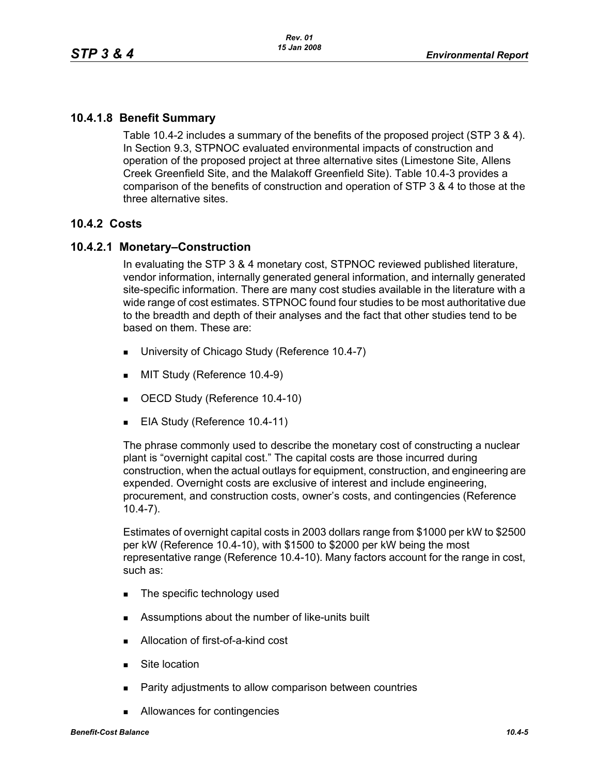## **10.4.1.8 Benefit Summary**

Table 10.4-2 includes a summary of the benefits of the proposed project (STP 3 & 4). In Section 9.3, STPNOC evaluated environmental impacts of construction and operation of the proposed project at three alternative sites (Limestone Site, Allens Creek Greenfield Site, and the Malakoff Greenfield Site). Table 10.4-3 provides a comparison of the benefits of construction and operation of STP 3 & 4 to those at the three alternative sites.

### **10.4.2 Costs**

### **10.4.2.1 Monetary–Construction**

In evaluating the STP 3 & 4 monetary cost, STPNOC reviewed published literature, vendor information, internally generated general information, and internally generated site-specific information. There are many cost studies available in the literature with a wide range of cost estimates. STPNOC found four studies to be most authoritative due to the breadth and depth of their analyses and the fact that other studies tend to be based on them. These are:

- **University of Chicago Study (Reference 10.4-7)**
- **MIT Study (Reference 10.4-9)**
- OECD Study (Reference 10.4-10)
- EIA Study (Reference 10.4-11)

The phrase commonly used to describe the monetary cost of constructing a nuclear plant is "overnight capital cost." The capital costs are those incurred during construction, when the actual outlays for equipment, construction, and engineering are expended. Overnight costs are exclusive of interest and include engineering, procurement, and construction costs, owner's costs, and contingencies (Reference 10.4-7).

Estimates of overnight capital costs in 2003 dollars range from \$1000 per kW to \$2500 per kW (Reference 10.4-10), with \$1500 to \$2000 per kW being the most representative range (Reference 10.4-10). Many factors account for the range in cost, such as:

- The specific technology used
- Assumptions about the number of like-units built
- Allocation of first-of-a-kind cost
- **Site location**
- **Parity adjustments to allow comparison between countries**
- Allowances for contingencies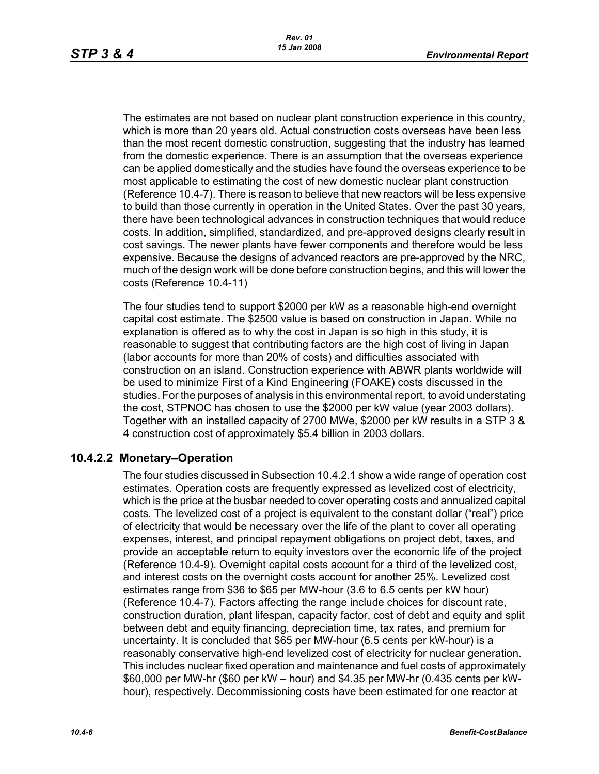The estimates are not based on nuclear plant construction experience in this country, which is more than 20 years old. Actual construction costs overseas have been less than the most recent domestic construction, suggesting that the industry has learned from the domestic experience. There is an assumption that the overseas experience can be applied domestically and the studies have found the overseas experience to be most applicable to estimating the cost of new domestic nuclear plant construction (Reference 10.4-7). There is reason to believe that new reactors will be less expensive to build than those currently in operation in the United States. Over the past 30 years, there have been technological advances in construction techniques that would reduce costs. In addition, simplified, standardized, and pre-approved designs clearly result in cost savings. The newer plants have fewer components and therefore would be less expensive. Because the designs of advanced reactors are pre-approved by the NRC, much of the design work will be done before construction begins, and this will lower the costs (Reference 10.4-11)

The four studies tend to support \$2000 per kW as a reasonable high-end overnight capital cost estimate. The \$2500 value is based on construction in Japan. While no explanation is offered as to why the cost in Japan is so high in this study, it is reasonable to suggest that contributing factors are the high cost of living in Japan (labor accounts for more than 20% of costs) and difficulties associated with construction on an island. Construction experience with ABWR plants worldwide will be used to minimize First of a Kind Engineering (FOAKE) costs discussed in the studies. For the purposes of analysis in this environmental report, to avoid understating the cost, STPNOC has chosen to use the \$2000 per kW value (year 2003 dollars). Together with an installed capacity of 2700 MWe, \$2000 per kW results in a STP 3 & 4 construction cost of approximately \$5.4 billion in 2003 dollars.

## **10.4.2.2 Monetary–Operation**

The four studies discussed in Subsection 10.4.2.1 show a wide range of operation cost estimates. Operation costs are frequently expressed as levelized cost of electricity, which is the price at the busbar needed to cover operating costs and annualized capital costs. The levelized cost of a project is equivalent to the constant dollar ("real") price of electricity that would be necessary over the life of the plant to cover all operating expenses, interest, and principal repayment obligations on project debt, taxes, and provide an acceptable return to equity investors over the economic life of the project (Reference 10.4-9). Overnight capital costs account for a third of the levelized cost, and interest costs on the overnight costs account for another 25%. Levelized cost estimates range from \$36 to \$65 per MW-hour (3.6 to 6.5 cents per kW hour) (Reference 10.4-7). Factors affecting the range include choices for discount rate, construction duration, plant lifespan, capacity factor, cost of debt and equity and split between debt and equity financing, depreciation time, tax rates, and premium for uncertainty. It is concluded that \$65 per MW-hour (6.5 cents per kW-hour) is a reasonably conservative high-end levelized cost of electricity for nuclear generation. This includes nuclear fixed operation and maintenance and fuel costs of approximately \$60,000 per MW-hr (\$60 per kW – hour) and \$4.35 per MW-hr (0.435 cents per kWhour), respectively. Decommissioning costs have been estimated for one reactor at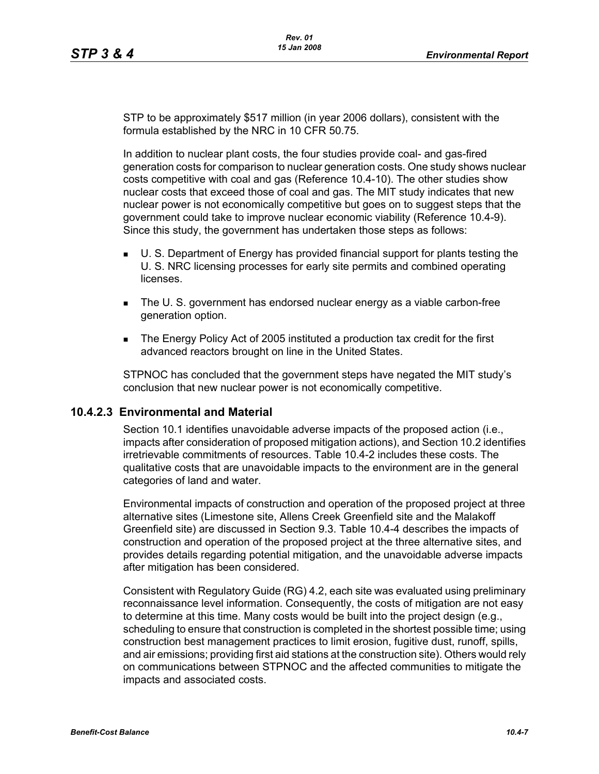STP to be approximately \$517 million (in year 2006 dollars), consistent with the formula established by the NRC in 10 CFR 50.75.

In addition to nuclear plant costs, the four studies provide coal- and gas-fired generation costs for comparison to nuclear generation costs. One study shows nuclear costs competitive with coal and gas (Reference 10.4-10). The other studies show nuclear costs that exceed those of coal and gas. The MIT study indicates that new nuclear power is not economically competitive but goes on to suggest steps that the government could take to improve nuclear economic viability (Reference 10.4-9). Since this study, the government has undertaken those steps as follows:

- U. S. Department of Energy has provided financial support for plants testing the U. S. NRC licensing processes for early site permits and combined operating licenses.
- The U. S. government has endorsed nuclear energy as a viable carbon-free generation option.
- The Energy Policy Act of 2005 instituted a production tax credit for the first advanced reactors brought on line in the United States.

STPNOC has concluded that the government steps have negated the MIT study's conclusion that new nuclear power is not economically competitive.

### **10.4.2.3 Environmental and Material**

Section 10.1 identifies unavoidable adverse impacts of the proposed action (i.e., impacts after consideration of proposed mitigation actions), and Section 10.2 identifies irretrievable commitments of resources. Table 10.4-2 includes these costs. The qualitative costs that are unavoidable impacts to the environment are in the general categories of land and water.

Environmental impacts of construction and operation of the proposed project at three alternative sites (Limestone site, Allens Creek Greenfield site and the Malakoff Greenfield site) are discussed in Section 9.3. Table 10.4-4 describes the impacts of construction and operation of the proposed project at the three alternative sites, and provides details regarding potential mitigation, and the unavoidable adverse impacts after mitigation has been considered.

Consistent with Regulatory Guide (RG) 4.2, each site was evaluated using preliminary reconnaissance level information. Consequently, the costs of mitigation are not easy to determine at this time. Many costs would be built into the project design (e.g., scheduling to ensure that construction is completed in the shortest possible time; using construction best management practices to limit erosion, fugitive dust, runoff, spills, and air emissions; providing first aid stations at the construction site). Others would rely on communications between STPNOC and the affected communities to mitigate the impacts and associated costs.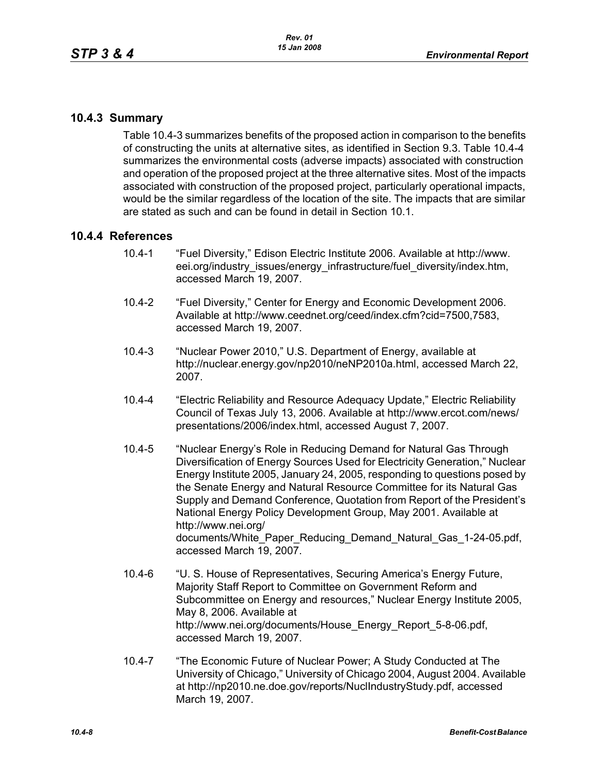## **10.4.3 Summary**

Table 10.4-3 summarizes benefits of the proposed action in comparison to the benefits of constructing the units at alternative sites, as identified in Section 9.3. Table 10.4-4 summarizes the environmental costs (adverse impacts) associated with construction and operation of the proposed project at the three alternative sites. Most of the impacts associated with construction of the proposed project, particularly operational impacts, would be the similar regardless of the location of the site. The impacts that are similar are stated as such and can be found in detail in Section 10.1.

## **10.4.4 References**

- 10.4-1 "Fuel Diversity," Edison Electric Institute 2006. Available at http://www. eei.org/industry\_issues/energy\_infrastructure/fuel\_diversity/index.htm, accessed March 19, 2007.
- 10.4-2 "Fuel Diversity," Center for Energy and Economic Development 2006. Available at http://www.ceednet.org/ceed/index.cfm?cid=7500,7583, accessed March 19, 2007.
- 10.4-3 "Nuclear Power 2010," U.S. Department of Energy, available at http://nuclear.energy.gov/np2010/neNP2010a.html, accessed March 22, 2007.
- 10.4-4 "Electric Reliability and Resource Adequacy Update," Electric Reliability Council of Texas July 13, 2006. Available at http://www.ercot.com/news/ presentations/2006/index.html, accessed August 7, 2007.
- 10.4-5 "Nuclear Energy's Role in Reducing Demand for Natural Gas Through Diversification of Energy Sources Used for Electricity Generation," Nuclear Energy Institute 2005, January 24, 2005, responding to questions posed by the Senate Energy and Natural Resource Committee for its Natural Gas Supply and Demand Conference, Quotation from Report of the President's National Energy Policy Development Group, May 2001. Available at http://www.nei.org/ documents/White\_Paper\_Reducing\_Demand\_Natural\_Gas\_1-24-05.pdf, accessed March 19, 2007.
- 10.4-6 "U. S. House of Representatives, Securing America's Energy Future, Majority Staff Report to Committee on Government Reform and Subcommittee on Energy and resources," Nuclear Energy Institute 2005, May 8, 2006. Available at http://www.nei.org/documents/House\_Energy\_Report\_5-8-06.pdf, accessed March 19, 2007.
- 10.4-7 "The Economic Future of Nuclear Power; A Study Conducted at The University of Chicago," University of Chicago 2004, August 2004. Available at http://np2010.ne.doe.gov/reports/NuclIndustryStudy.pdf, accessed March 19, 2007.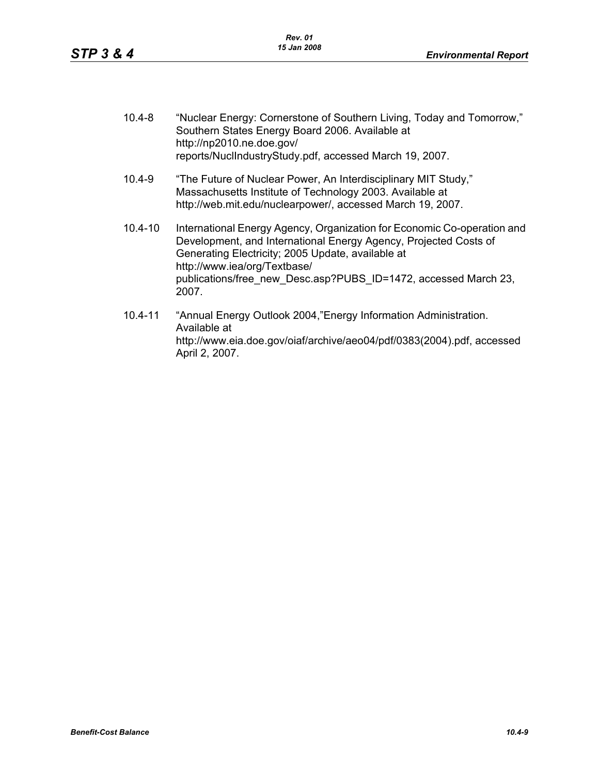| $10.4 - 8$  | "Nuclear Energy: Cornerstone of Southern Living, Today and Tomorrow,"<br>Southern States Energy Board 2006. Available at<br>http://np2010.ne.doe.gov/<br>reports/NuclIndustryStudy.pdf, accessed March 19, 2007.                                                                                             |
|-------------|--------------------------------------------------------------------------------------------------------------------------------------------------------------------------------------------------------------------------------------------------------------------------------------------------------------|
| $10.4 - 9$  | "The Future of Nuclear Power, An Interdisciplinary MIT Study,"<br>Massachusetts Institute of Technology 2003. Available at<br>http://web.mit.edu/nuclearpower/, accessed March 19, 2007.                                                                                                                     |
| $10.4 - 10$ | International Energy Agency, Organization for Economic Co-operation and<br>Development, and International Energy Agency, Projected Costs of<br>Generating Electricity; 2005 Update, available at<br>http://www.iea/org/Textbase/<br>publications/free new Desc.asp?PUBS ID=1472, accessed March 23,<br>2007. |
| $10.4 - 11$ | "Annual Energy Outlook 2004,"Energy Information Administration.<br>Available at                                                                                                                                                                                                                              |

http://www.eia.doe.gov/oiaf/archive/aeo04/pdf/0383(2004).pdf, accessed April 2, 2007.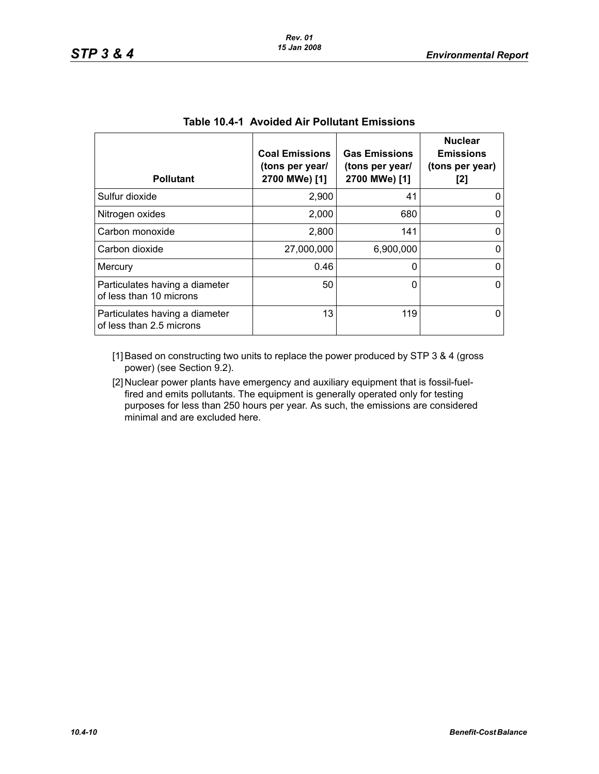| <b>Pollutant</b>                                           | <b>Coal Emissions</b><br>(tons per year/<br>2700 MWe) [1] | <b>Gas Emissions</b><br>(tons per year/<br>2700 MWe) [1] | <b>Nuclear</b><br><b>Emissions</b><br>(tons per year)<br>[2] |
|------------------------------------------------------------|-----------------------------------------------------------|----------------------------------------------------------|--------------------------------------------------------------|
| Sulfur dioxide                                             | 2,900                                                     | 41                                                       | O                                                            |
| Nitrogen oxides                                            | 2,000                                                     | 680                                                      | 0                                                            |
| Carbon monoxide                                            | 2,800                                                     | 141                                                      | 0                                                            |
| Carbon dioxide                                             | 27,000,000                                                | 6,900,000                                                | 0                                                            |
| Mercury                                                    | 0.46                                                      | 0                                                        | 0                                                            |
| Particulates having a diameter<br>of less than 10 microns  | 50                                                        | 0                                                        | 0                                                            |
| Particulates having a diameter<br>of less than 2.5 microns | 13                                                        | 119                                                      | 0                                                            |

### **Table 10.4-1 Avoided Air Pollutant Emissions**

[1] Based on constructing two units to replace the power produced by STP 3 & 4 (gross power) (see Section 9.2).

[2] Nuclear power plants have emergency and auxiliary equipment that is fossil-fuelfired and emits pollutants. The equipment is generally operated only for testing purposes for less than 250 hours per year. As such, the emissions are considered minimal and are excluded here.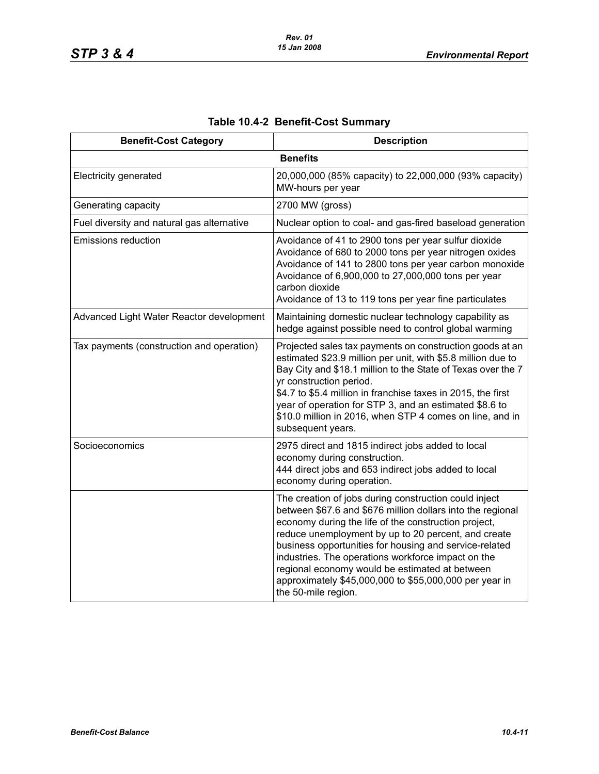| <b>Benefit-Cost Category</b>               | <b>Description</b>                                                                                                                                                                                                                                                                                                                                                                                                                                                                    |
|--------------------------------------------|---------------------------------------------------------------------------------------------------------------------------------------------------------------------------------------------------------------------------------------------------------------------------------------------------------------------------------------------------------------------------------------------------------------------------------------------------------------------------------------|
|                                            | <b>Benefits</b>                                                                                                                                                                                                                                                                                                                                                                                                                                                                       |
| <b>Electricity generated</b>               | 20,000,000 (85% capacity) to 22,000,000 (93% capacity)<br>MW-hours per year                                                                                                                                                                                                                                                                                                                                                                                                           |
| Generating capacity                        | 2700 MW (gross)                                                                                                                                                                                                                                                                                                                                                                                                                                                                       |
| Fuel diversity and natural gas alternative | Nuclear option to coal- and gas-fired baseload generation                                                                                                                                                                                                                                                                                                                                                                                                                             |
| <b>Emissions reduction</b>                 | Avoidance of 41 to 2900 tons per year sulfur dioxide<br>Avoidance of 680 to 2000 tons per year nitrogen oxides<br>Avoidance of 141 to 2800 tons per year carbon monoxide<br>Avoidance of 6,900,000 to 27,000,000 tons per year<br>carbon dioxide<br>Avoidance of 13 to 119 tons per year fine particulates                                                                                                                                                                            |
| Advanced Light Water Reactor development   | Maintaining domestic nuclear technology capability as<br>hedge against possible need to control global warming                                                                                                                                                                                                                                                                                                                                                                        |
| Tax payments (construction and operation)  | Projected sales tax payments on construction goods at an<br>estimated \$23.9 million per unit, with \$5.8 million due to<br>Bay City and \$18.1 million to the State of Texas over the 7<br>yr construction period.<br>\$4.7 to \$5.4 million in franchise taxes in 2015, the first<br>year of operation for STP 3, and an estimated \$8.6 to<br>\$10.0 million in 2016, when STP 4 comes on line, and in<br>subsequent years.                                                        |
| Socioeconomics                             | 2975 direct and 1815 indirect jobs added to local<br>economy during construction.<br>444 direct jobs and 653 indirect jobs added to local<br>economy during operation.                                                                                                                                                                                                                                                                                                                |
|                                            | The creation of jobs during construction could inject<br>between \$67.6 and \$676 million dollars into the regional<br>economy during the life of the construction project,<br>reduce unemployment by up to 20 percent, and create<br>business opportunities for housing and service-related<br>industries. The operations workforce impact on the<br>regional economy would be estimated at between<br>approximately \$45,000,000 to \$55,000,000 per year in<br>the 50-mile region. |

# **Table 10.4-2 Benefit-Cost Summary**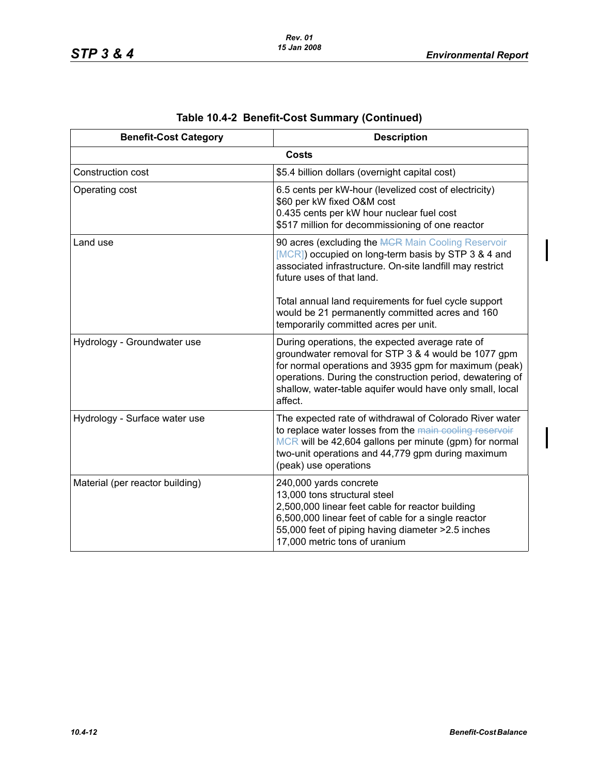I

I

| <b>Benefit-Cost Category</b>    | <b>Description</b>                                                                                                                                                                                                                                                                                   |
|---------------------------------|------------------------------------------------------------------------------------------------------------------------------------------------------------------------------------------------------------------------------------------------------------------------------------------------------|
|                                 | <b>Costs</b>                                                                                                                                                                                                                                                                                         |
| Construction cost               | \$5.4 billion dollars (overnight capital cost)                                                                                                                                                                                                                                                       |
| Operating cost                  | 6.5 cents per kW-hour (levelized cost of electricity)<br>\$60 per kW fixed O&M cost<br>0.435 cents per kW hour nuclear fuel cost<br>\$517 million for decommissioning of one reactor                                                                                                                 |
| Land use                        | 90 acres (excluding the MGR Main Cooling Reservoir<br>[MCR]) occupied on long-term basis by STP 3 & 4 and<br>associated infrastructure. On-site landfill may restrict<br>future uses of that land.                                                                                                   |
|                                 | Total annual land requirements for fuel cycle support<br>would be 21 permanently committed acres and 160<br>temporarily committed acres per unit.                                                                                                                                                    |
| Hydrology - Groundwater use     | During operations, the expected average rate of<br>groundwater removal for STP 3 & 4 would be 1077 gpm<br>for normal operations and 3935 gpm for maximum (peak)<br>operations. During the construction period, dewatering of<br>shallow, water-table aquifer would have only small, local<br>affect. |
| Hydrology - Surface water use   | The expected rate of withdrawal of Colorado River water<br>to replace water losses from the main cooling reservoir<br>MCR will be 42,604 gallons per minute (gpm) for normal<br>two-unit operations and 44,779 gpm during maximum<br>(peak) use operations                                           |
| Material (per reactor building) | 240,000 yards concrete<br>13,000 tons structural steel<br>2,500,000 linear feet cable for reactor building<br>6,500,000 linear feet of cable for a single reactor<br>55,000 feet of piping having diameter > 2.5 inches<br>17,000 metric tons of uranium                                             |

|  | Table 10.4-2 Benefit-Cost Summary (Continued) |  |  |
|--|-----------------------------------------------|--|--|
|--|-----------------------------------------------|--|--|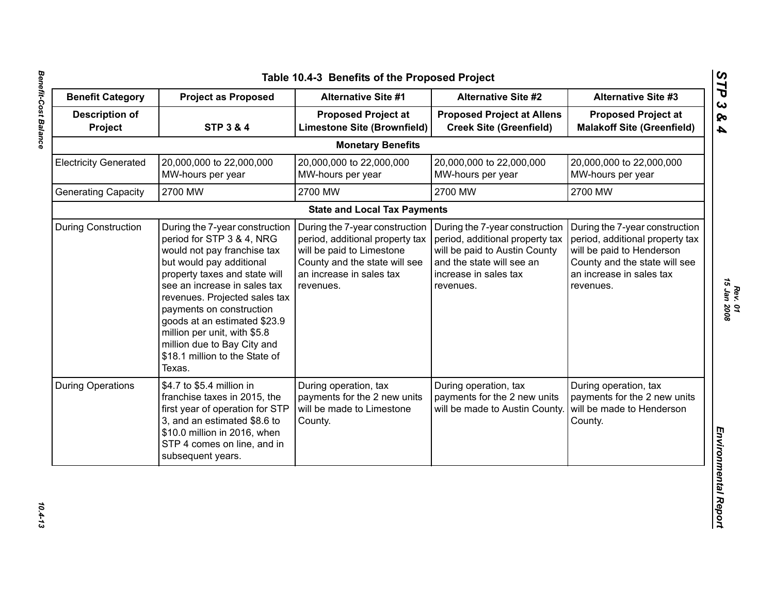| <b>Benefit Category</b><br><b>Project as Proposed</b><br><b>Alternative Site #1</b><br><b>Alternative Site #2</b> |                                                                                                                                                                                                                                                                                                                                                                                                 |                                                                                                                                                                          |                                                                                                                                                                       | <b>Alternative Site #3</b>                                                                                                                                               |
|-------------------------------------------------------------------------------------------------------------------|-------------------------------------------------------------------------------------------------------------------------------------------------------------------------------------------------------------------------------------------------------------------------------------------------------------------------------------------------------------------------------------------------|--------------------------------------------------------------------------------------------------------------------------------------------------------------------------|-----------------------------------------------------------------------------------------------------------------------------------------------------------------------|--------------------------------------------------------------------------------------------------------------------------------------------------------------------------|
| <b>Description of</b><br>Project                                                                                  | <b>STP 3 &amp; 4</b>                                                                                                                                                                                                                                                                                                                                                                            | <b>Proposed Project at</b><br><b>Limestone Site (Brownfield)</b>                                                                                                         | <b>Proposed Project at Allens</b><br><b>Creek Site (Greenfield)</b>                                                                                                   | <b>Proposed Project at</b><br><b>Malakoff Site (Greenfield)</b>                                                                                                          |
|                                                                                                                   |                                                                                                                                                                                                                                                                                                                                                                                                 | <b>Monetary Benefits</b>                                                                                                                                                 |                                                                                                                                                                       |                                                                                                                                                                          |
| <b>Electricity Generated</b>                                                                                      | 20,000,000 to 22,000,000<br>MW-hours per year                                                                                                                                                                                                                                                                                                                                                   | 20,000,000 to 22,000,000<br>MW-hours per year                                                                                                                            | 20,000,000 to 22,000,000<br>MW-hours per year                                                                                                                         | 20,000,000 to 22,000,000<br>MW-hours per year                                                                                                                            |
| <b>Generating Capacity</b>                                                                                        | 2700 MW                                                                                                                                                                                                                                                                                                                                                                                         | 2700 MW                                                                                                                                                                  | 2700 MW                                                                                                                                                               | 2700 MW                                                                                                                                                                  |
|                                                                                                                   |                                                                                                                                                                                                                                                                                                                                                                                                 | <b>State and Local Tax Payments</b>                                                                                                                                      |                                                                                                                                                                       |                                                                                                                                                                          |
| <b>During Construction</b>                                                                                        | During the 7-year construction<br>period for STP 3 & 4, NRG<br>would not pay franchise tax<br>but would pay additional<br>property taxes and state will<br>see an increase in sales tax<br>revenues. Projected sales tax<br>payments on construction<br>goods at an estimated \$23.9<br>million per unit, with \$5.8<br>million due to Bay City and<br>\$18.1 million to the State of<br>Texas. | During the 7-year construction<br>period, additional property tax<br>will be paid to Limestone<br>County and the state will see<br>an increase in sales tax<br>revenues. | During the 7-year construction<br>period, additional property tax<br>will be paid to Austin County<br>and the state will see an<br>increase in sales tax<br>revenues. | During the 7-year construction<br>period, additional property tax<br>will be paid to Henderson<br>County and the state will see<br>an increase in sales tax<br>revenues. |
| <b>During Operations</b>                                                                                          | \$4.7 to \$5.4 million in<br>franchise taxes in 2015, the<br>first year of operation for STP<br>3, and an estimated \$8.6 to<br>\$10.0 million in 2016, when<br>STP 4 comes on line, and in<br>subsequent years.                                                                                                                                                                                | During operation, tax<br>payments for the 2 new units<br>will be made to Limestone<br>County.                                                                            | During operation, tax<br>payments for the 2 new units<br>will be made to Austin County.                                                                               | During operation, tax<br>payments for the 2 new units<br>will be made to Henderson<br>County.                                                                            |

 $10.4 - 13$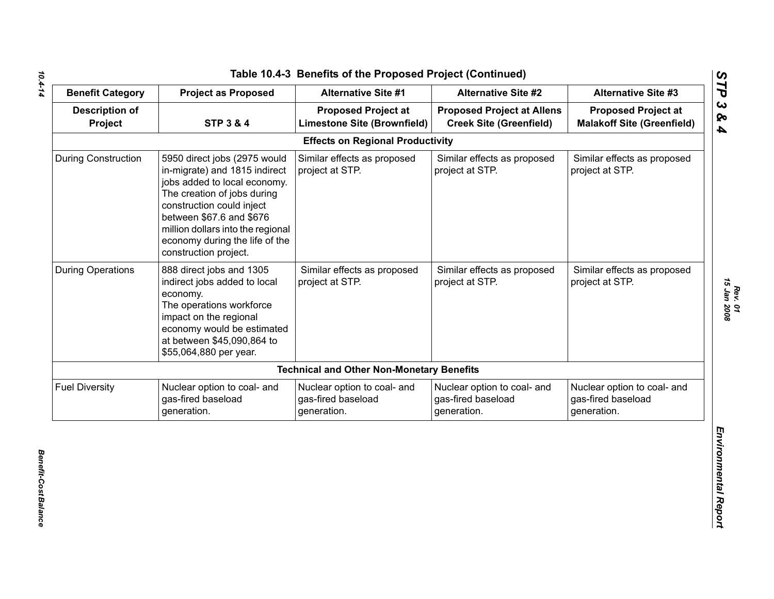| <b>Benefit Category</b>          | <b>Project as Proposed</b>                                                                                                                                                                                                                                                            | <b>Alternative Site #1</b>                                       | <b>Alternative Site #2</b>                                          | <b>Alternative Site #3</b>                                       |
|----------------------------------|---------------------------------------------------------------------------------------------------------------------------------------------------------------------------------------------------------------------------------------------------------------------------------------|------------------------------------------------------------------|---------------------------------------------------------------------|------------------------------------------------------------------|
| <b>Description of</b><br>Project | <b>STP 3 &amp; 4</b>                                                                                                                                                                                                                                                                  | <b>Proposed Project at</b><br><b>Limestone Site (Brownfield)</b> | <b>Proposed Project at Allens</b><br><b>Creek Site (Greenfield)</b> | <b>Proposed Project at</b><br><b>Malakoff Site (Greenfield)</b>  |
|                                  |                                                                                                                                                                                                                                                                                       | <b>Effects on Regional Productivity</b>                          |                                                                     |                                                                  |
| <b>During Construction</b>       | 5950 direct jobs (2975 would<br>in-migrate) and 1815 indirect<br>jobs added to local economy.<br>The creation of jobs during<br>construction could inject<br>between \$67.6 and \$676<br>million dollars into the regional<br>economy during the life of the<br>construction project. | Similar effects as proposed<br>project at STP.                   | Similar effects as proposed<br>project at STP.                      | Similar effects as proposed<br>project at STP.                   |
| <b>During Operations</b>         | 888 direct jobs and 1305<br>indirect jobs added to local<br>economy.<br>The operations workforce<br>impact on the regional<br>economy would be estimated<br>at between \$45,090,864 to<br>\$55,064,880 per year.                                                                      | Similar effects as proposed<br>project at STP.                   | Similar effects as proposed<br>project at STP.                      | Similar effects as proposed<br>project at STP.                   |
|                                  |                                                                                                                                                                                                                                                                                       | <b>Technical and Other Non-Monetary Benefits</b>                 |                                                                     |                                                                  |
| <b>Fuel Diversity</b>            | Nuclear option to coal- and<br>gas-fired baseload<br>generation.                                                                                                                                                                                                                      | Nuclear option to coal- and<br>gas-fired baseload<br>generation. | Nuclear option to coal- and<br>gas-fired baseload<br>generation.    | Nuclear option to coal- and<br>gas-fired baseload<br>generation. |

*Rev. 01*<br>15 Jan 2008 *15 Jan 2008*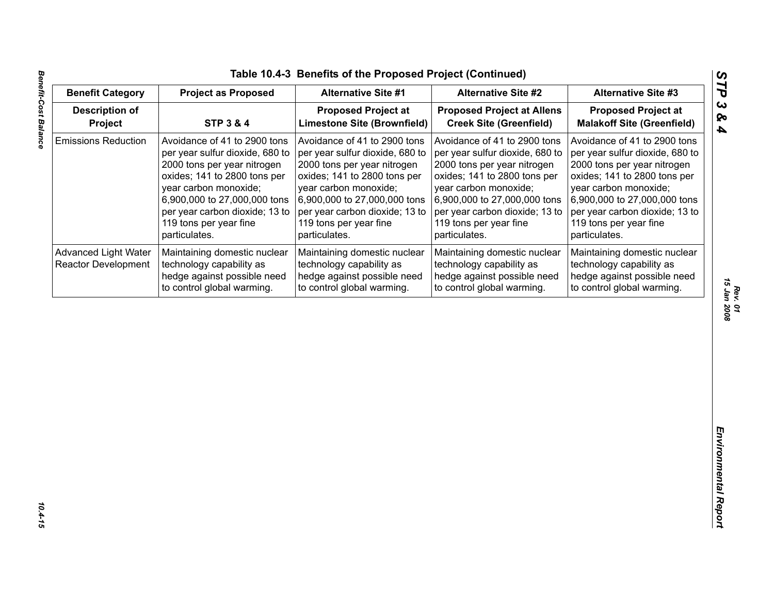| <b>Benefit Category</b>                            | <b>Project as Proposed</b>                                                                                                                                                                                                                                           | <b>Alternative Site #1</b>                                                                                                                                                                                                                                           | <b>Alternative Site #2</b>                                                                                                                                                                                                                                           | <b>Alternative Site #3</b>                                                                                                                                                                                                                                           |
|----------------------------------------------------|----------------------------------------------------------------------------------------------------------------------------------------------------------------------------------------------------------------------------------------------------------------------|----------------------------------------------------------------------------------------------------------------------------------------------------------------------------------------------------------------------------------------------------------------------|----------------------------------------------------------------------------------------------------------------------------------------------------------------------------------------------------------------------------------------------------------------------|----------------------------------------------------------------------------------------------------------------------------------------------------------------------------------------------------------------------------------------------------------------------|
| <b>Description of</b><br>Project                   | <b>STP 3 &amp; 4</b>                                                                                                                                                                                                                                                 | <b>Proposed Project at</b><br><b>Limestone Site (Brownfield)</b>                                                                                                                                                                                                     | <b>Proposed Project at Allens</b><br><b>Creek Site (Greenfield)</b>                                                                                                                                                                                                  | <b>Proposed Project at</b><br><b>Malakoff Site (Greenfield)</b>                                                                                                                                                                                                      |
| <b>Emissions Reduction</b>                         | Avoidance of 41 to 2900 tons<br>per year sulfur dioxide, 680 to<br>2000 tons per year nitrogen<br>oxides; 141 to 2800 tons per<br>year carbon monoxide;<br>6,900,000 to 27,000,000 tons<br>per year carbon dioxide; 13 to<br>119 tons per year fine<br>particulates. | Avoidance of 41 to 2900 tons<br>per year sulfur dioxide, 680 to<br>2000 tons per year nitrogen<br>oxides; 141 to 2800 tons per<br>year carbon monoxide;<br>6,900,000 to 27,000,000 tons<br>per year carbon dioxide; 13 to<br>119 tons per year fine<br>particulates. | Avoidance of 41 to 2900 tons<br>per year sulfur dioxide, 680 to<br>2000 tons per year nitrogen<br>oxides; 141 to 2800 tons per<br>year carbon monoxide;<br>6,900,000 to 27,000,000 tons<br>per year carbon dioxide; 13 to<br>119 tons per year fine<br>particulates. | Avoidance of 41 to 2900 tons<br>per year sulfur dioxide, 680 to<br>2000 tons per year nitrogen<br>oxides; 141 to 2800 tons per<br>year carbon monoxide;<br>6,900,000 to 27,000,000 tons<br>per year carbon dioxide; 13 to<br>119 tons per year fine<br>particulates. |
| <b>Advanced Light Water</b><br>Reactor Development | Maintaining domestic nuclear<br>technology capability as<br>hedge against possible need<br>to control global warming.                                                                                                                                                | Maintaining domestic nuclear<br>technology capability as<br>hedge against possible need<br>to control global warming.                                                                                                                                                | Maintaining domestic nuclear<br>technology capability as<br>hedge against possible need<br>to control global warming.                                                                                                                                                | Maintaining domestic nuclear<br>technology capability as<br>hedge against possible need<br>to control global warming.                                                                                                                                                |
|                                                    |                                                                                                                                                                                                                                                                      |                                                                                                                                                                                                                                                                      |                                                                                                                                                                                                                                                                      |                                                                                                                                                                                                                                                                      |

*Rev. 01*<br>15 Jan 2008 *15 Jan 2008*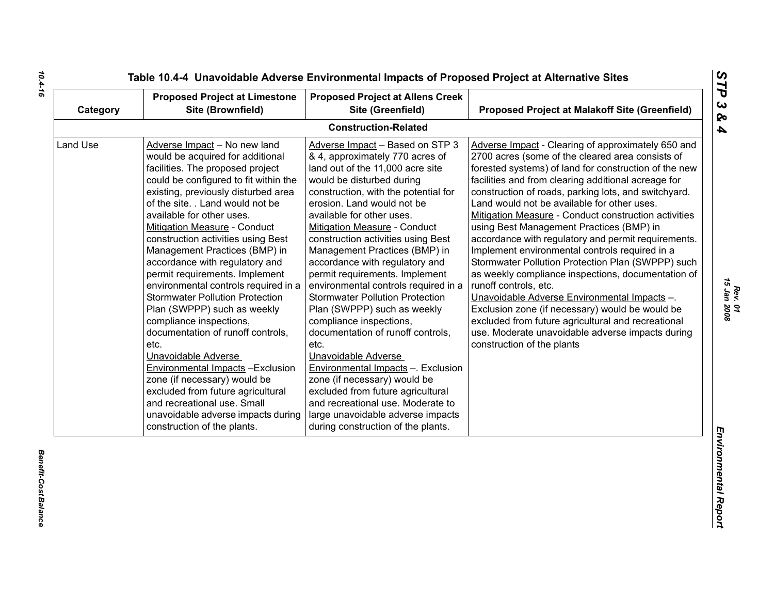| Land Use | Adverse Impact - No new land<br>would be acquired for additional                                                                                                                                                                                                                                                                                                                                                                                                                                                                                                                                                                                                                                                                                                                                 | <b>Construction-Related</b><br>Adverse Impact - Based on STP 3                                                                                                                                                                                                                                                                                                                                                                                                                                                                                                                                                                                                                                                                                                                                                                   | Adverse Impact - Clearing of approximately 650 and                                                                                                                                                                                                                                                                                                                                                                                                                                                                                                                                                                                                                                                                                                                                                                                                                  |
|----------|--------------------------------------------------------------------------------------------------------------------------------------------------------------------------------------------------------------------------------------------------------------------------------------------------------------------------------------------------------------------------------------------------------------------------------------------------------------------------------------------------------------------------------------------------------------------------------------------------------------------------------------------------------------------------------------------------------------------------------------------------------------------------------------------------|----------------------------------------------------------------------------------------------------------------------------------------------------------------------------------------------------------------------------------------------------------------------------------------------------------------------------------------------------------------------------------------------------------------------------------------------------------------------------------------------------------------------------------------------------------------------------------------------------------------------------------------------------------------------------------------------------------------------------------------------------------------------------------------------------------------------------------|---------------------------------------------------------------------------------------------------------------------------------------------------------------------------------------------------------------------------------------------------------------------------------------------------------------------------------------------------------------------------------------------------------------------------------------------------------------------------------------------------------------------------------------------------------------------------------------------------------------------------------------------------------------------------------------------------------------------------------------------------------------------------------------------------------------------------------------------------------------------|
|          |                                                                                                                                                                                                                                                                                                                                                                                                                                                                                                                                                                                                                                                                                                                                                                                                  |                                                                                                                                                                                                                                                                                                                                                                                                                                                                                                                                                                                                                                                                                                                                                                                                                                  |                                                                                                                                                                                                                                                                                                                                                                                                                                                                                                                                                                                                                                                                                                                                                                                                                                                                     |
| etc.     | facilities. The proposed project<br>could be configured to fit within the<br>existing, previously disturbed area<br>of the site. . Land would not be<br>available for other uses.<br><b>Mitigation Measure - Conduct</b><br>construction activities using Best<br>Management Practices (BMP) in<br>accordance with regulatory and<br>permit requirements. Implement<br>environmental controls required in a<br><b>Stormwater Pollution Protection</b><br>Plan (SWPPP) such as weekly<br>compliance inspections,<br>documentation of runoff controls,<br>Unavoidable Adverse<br><b>Environmental Impacts - Exclusion</b><br>zone (if necessary) would be<br>excluded from future agricultural<br>and recreational use. Small<br>unavoidable adverse impacts during<br>construction of the plants. | & 4, approximately 770 acres of<br>land out of the 11,000 acre site<br>would be disturbed during<br>construction, with the potential for<br>erosion. Land would not be<br>available for other uses.<br><b>Mitigation Measure - Conduct</b><br>construction activities using Best<br>Management Practices (BMP) in<br>accordance with regulatory and<br>permit requirements. Implement<br>environmental controls required in a<br><b>Stormwater Pollution Protection</b><br>Plan (SWPPP) such as weekly<br>compliance inspections,<br>documentation of runoff controls,<br>etc.<br>Unavoidable Adverse<br>Environmental Impacts -. Exclusion<br>zone (if necessary) would be<br>excluded from future agricultural<br>and recreational use. Moderate to<br>large unavoidable adverse impacts<br>during construction of the plants. | 2700 acres (some of the cleared area consists of<br>forested systems) of land for construction of the new<br>facilities and from clearing additional acreage for<br>construction of roads, parking lots, and switchyard.<br>Land would not be available for other uses.<br>Mitigation Measure - Conduct construction activities<br>using Best Management Practices (BMP) in<br>accordance with regulatory and permit requirements.<br>Implement environmental controls required in a<br>Stormwater Pollution Protection Plan (SWPPP) such<br>as weekly compliance inspections, documentation of<br>runoff controls, etc.<br>Unavoidable Adverse Environmental Impacts -.<br>Exclusion zone (if necessary) would be would be<br>excluded from future agricultural and recreational<br>use. Moderate unavoidable adverse impacts during<br>construction of the plants |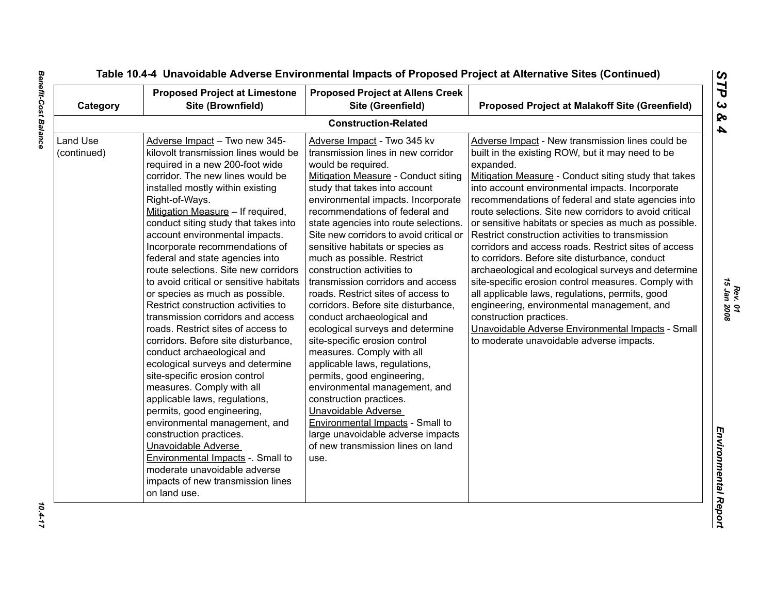| Category                | <b>Proposed Project at Limestone</b><br>Site (Brownfield)                                                                                                                                                                                                                                                                                                                                                                                                                                                                                                                                                                                                                                                                                                                                                                                                                                                                                                                                                                                                                         | <b>Proposed Project at Allens Creek</b><br>Site (Greenfield)                                                                                                                                                                                                                                                                                                                                                                                                                                                                                                                                                                                                                                                                                                                                                                                                                                                                                                 | <b>Proposed Project at Malakoff Site (Greenfield)</b>                                                                                                                                                                                                                                                                                                                                                                                                                                                                                                                                                                                                                                                                                                                                                                                                                                                          |
|-------------------------|-----------------------------------------------------------------------------------------------------------------------------------------------------------------------------------------------------------------------------------------------------------------------------------------------------------------------------------------------------------------------------------------------------------------------------------------------------------------------------------------------------------------------------------------------------------------------------------------------------------------------------------------------------------------------------------------------------------------------------------------------------------------------------------------------------------------------------------------------------------------------------------------------------------------------------------------------------------------------------------------------------------------------------------------------------------------------------------|--------------------------------------------------------------------------------------------------------------------------------------------------------------------------------------------------------------------------------------------------------------------------------------------------------------------------------------------------------------------------------------------------------------------------------------------------------------------------------------------------------------------------------------------------------------------------------------------------------------------------------------------------------------------------------------------------------------------------------------------------------------------------------------------------------------------------------------------------------------------------------------------------------------------------------------------------------------|----------------------------------------------------------------------------------------------------------------------------------------------------------------------------------------------------------------------------------------------------------------------------------------------------------------------------------------------------------------------------------------------------------------------------------------------------------------------------------------------------------------------------------------------------------------------------------------------------------------------------------------------------------------------------------------------------------------------------------------------------------------------------------------------------------------------------------------------------------------------------------------------------------------|
|                         |                                                                                                                                                                                                                                                                                                                                                                                                                                                                                                                                                                                                                                                                                                                                                                                                                                                                                                                                                                                                                                                                                   | <b>Construction-Related</b>                                                                                                                                                                                                                                                                                                                                                                                                                                                                                                                                                                                                                                                                                                                                                                                                                                                                                                                                  |                                                                                                                                                                                                                                                                                                                                                                                                                                                                                                                                                                                                                                                                                                                                                                                                                                                                                                                |
| Land Use<br>(continued) | Adverse Impact - Two new 345-<br>kilovolt transmission lines would be<br>required in a new 200-foot wide<br>corridor. The new lines would be<br>installed mostly within existing<br>Right-of-Ways.<br>Mitigation Measure - If required,<br>conduct siting study that takes into<br>account environmental impacts.<br>Incorporate recommendations of<br>federal and state agencies into<br>route selections. Site new corridors<br>to avoid critical or sensitive habitats<br>or species as much as possible.<br>Restrict construction activities to<br>transmission corridors and access<br>roads. Restrict sites of access to<br>corridors. Before site disturbance,<br>conduct archaeological and<br>ecological surveys and determine<br>site-specific erosion control<br>measures. Comply with all<br>applicable laws, regulations,<br>permits, good engineering,<br>environmental management, and<br>construction practices.<br>Unavoidable Adverse<br>Environmental Impacts -. Small to<br>moderate unavoidable adverse<br>impacts of new transmission lines<br>on land use. | Adverse Impact - Two 345 kv<br>transmission lines in new corridor<br>would be required.<br>Mitigation Measure - Conduct siting<br>study that takes into account<br>environmental impacts. Incorporate<br>recommendations of federal and<br>state agencies into route selections.<br>Site new corridors to avoid critical or<br>sensitive habitats or species as<br>much as possible. Restrict<br>construction activities to<br>transmission corridors and access<br>roads. Restrict sites of access to<br>corridors. Before site disturbance,<br>conduct archaeological and<br>ecological surveys and determine<br>site-specific erosion control<br>measures. Comply with all<br>applicable laws, regulations,<br>permits, good engineering,<br>environmental management, and<br>construction practices.<br>Unavoidable Adverse<br><b>Environmental Impacts - Small to</b><br>large unavoidable adverse impacts<br>of new transmission lines on land<br>use. | Adverse Impact - New transmission lines could be<br>built in the existing ROW, but it may need to be<br>expanded.<br>Mitigation Measure - Conduct siting study that takes<br>into account environmental impacts. Incorporate<br>recommendations of federal and state agencies into<br>route selections. Site new corridors to avoid critical<br>or sensitive habitats or species as much as possible.<br>Restrict construction activities to transmission<br>corridors and access roads. Restrict sites of access<br>to corridors. Before site disturbance, conduct<br>archaeological and ecological surveys and determine<br>site-specific erosion control measures. Comply with<br>all applicable laws, regulations, permits, good<br>engineering, environmental management, and<br>construction practices.<br>Unavoidable Adverse Environmental Impacts - Small<br>to moderate unavoidable adverse impacts. |

10.4-17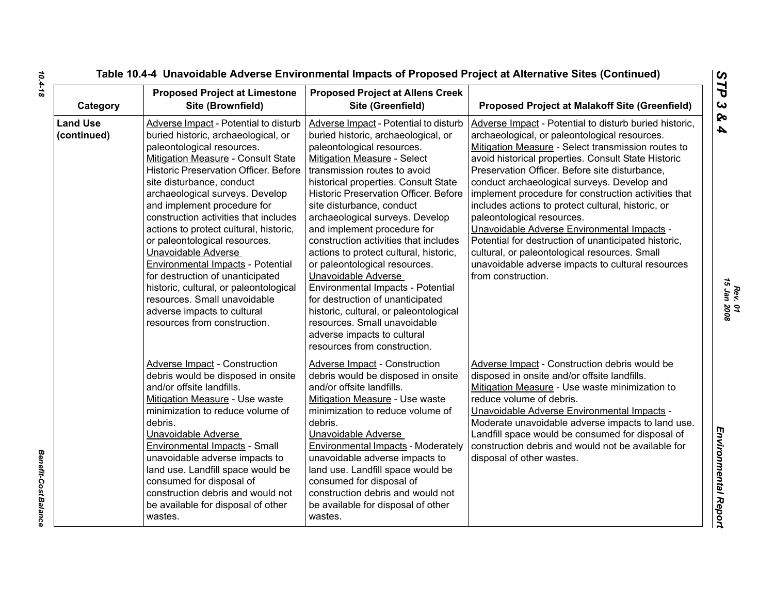| Category                       | <b>Proposed Project at Limestone</b><br>Site (Brownfield)                                                                                                                                                                                                                                                                                                                                                                                                                                                                                                                                                                                                                  | <b>Proposed Project at Allens Creek</b><br>Site (Greenfield)                                                                                                                                                                                                                                                                                                                                                                                                                                                                                                                                                                                                                                                                         | <b>Proposed Project at Malakoff Site (Greenfield)</b>                                                                                                                                                                                                                                                                                                                                                                                                                                                                                                                                                                                                                                                |
|--------------------------------|----------------------------------------------------------------------------------------------------------------------------------------------------------------------------------------------------------------------------------------------------------------------------------------------------------------------------------------------------------------------------------------------------------------------------------------------------------------------------------------------------------------------------------------------------------------------------------------------------------------------------------------------------------------------------|--------------------------------------------------------------------------------------------------------------------------------------------------------------------------------------------------------------------------------------------------------------------------------------------------------------------------------------------------------------------------------------------------------------------------------------------------------------------------------------------------------------------------------------------------------------------------------------------------------------------------------------------------------------------------------------------------------------------------------------|------------------------------------------------------------------------------------------------------------------------------------------------------------------------------------------------------------------------------------------------------------------------------------------------------------------------------------------------------------------------------------------------------------------------------------------------------------------------------------------------------------------------------------------------------------------------------------------------------------------------------------------------------------------------------------------------------|
| <b>Land Use</b><br>(continued) | Adverse Impact - Potential to disturb<br>buried historic, archaeological, or<br>paleontological resources.<br><b>Mitigation Measure - Consult State</b><br><b>Historic Preservation Officer. Before</b><br>site disturbance, conduct<br>archaeological surveys. Develop<br>and implement procedure for<br>construction activities that includes<br>actions to protect cultural, historic,<br>or paleontological resources.<br>Unavoidable Adverse<br><b>Environmental Impacts - Potential</b><br>for destruction of unanticipated<br>historic, cultural, or paleontological<br>resources. Small unavoidable<br>adverse impacts to cultural<br>resources from construction. | Adverse Impact - Potential to disturb<br>buried historic, archaeological, or<br>paleontological resources.<br><b>Mitigation Measure - Select</b><br>transmission routes to avoid<br>historical properties. Consult State<br><b>Historic Preservation Officer. Before</b><br>site disturbance, conduct<br>archaeological surveys. Develop<br>and implement procedure for<br>construction activities that includes<br>actions to protect cultural, historic,<br>or paleontological resources.<br>Unavoidable Adverse<br>Environmental Impacts - Potential<br>for destruction of unanticipated<br>historic, cultural, or paleontological<br>resources. Small unavoidable<br>adverse impacts to cultural<br>resources from construction. | Adverse Impact - Potential to disturb buried historic,<br>archaeological, or paleontological resources.<br>Mitigation Measure - Select transmission routes to<br>avoid historical properties. Consult State Historic<br>Preservation Officer. Before site disturbance,<br>conduct archaeological surveys. Develop and<br>implement procedure for construction activities that<br>includes actions to protect cultural, historic, or<br>paleontological resources.<br>Unavoidable Adverse Environmental Impacts -<br>Potential for destruction of unanticipated historic,<br>cultural, or paleontological resources. Small<br>unavoidable adverse impacts to cultural resources<br>from construction. |
|                                | Adverse Impact - Construction<br>debris would be disposed in onsite<br>and/or offsite landfills.<br>Mitigation Measure - Use waste<br>minimization to reduce volume of<br>debris.<br>Unavoidable Adverse<br><b>Environmental Impacts - Small</b><br>unavoidable adverse impacts to<br>land use. Landfill space would be<br>consumed for disposal of<br>construction debris and would not<br>be available for disposal of other<br>wastes.                                                                                                                                                                                                                                  | <b>Adverse Impact - Construction</b><br>debris would be disposed in onsite<br>and/or offsite landfills.<br>Mitigation Measure - Use waste<br>minimization to reduce volume of<br>debris.<br>Unavoidable Adverse<br><b>Environmental Impacts - Moderately</b><br>unavoidable adverse impacts to<br>land use. Landfill space would be<br>consumed for disposal of<br>construction debris and would not<br>be available for disposal of other<br>wastes.                                                                                                                                                                                                                                                                                | Adverse Impact - Construction debris would be<br>disposed in onsite and/or offsite landfills.<br>Mitigation Measure - Use waste minimization to<br>reduce volume of debris.<br>Unavoidable Adverse Environmental Impacts -<br>Moderate unavoidable adverse impacts to land use.<br>Landfill space would be consumed for disposal of<br>construction debris and would not be available for<br>disposal of other wastes.                                                                                                                                                                                                                                                                               |

*Benefit-Cost Balance* 

**Benefit-Cost Balance**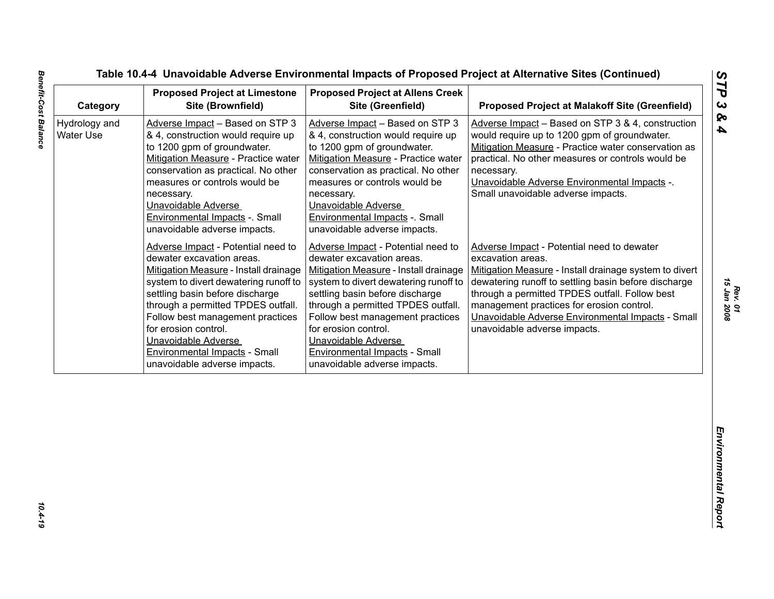| Category                          | <b>Proposed Project at Limestone</b><br>Site (Brownfield)                                                                                                                                                                                                                                                                                                                             | <b>Proposed Project at Allens Creek</b><br>Site (Greenfield)                                                                                                                                                                                                                                                                                                                          | <b>Proposed Project at Malakoff Site (Greenfield)</b>                                                                                                                                                                                                                                                                                                                 |
|-----------------------------------|---------------------------------------------------------------------------------------------------------------------------------------------------------------------------------------------------------------------------------------------------------------------------------------------------------------------------------------------------------------------------------------|---------------------------------------------------------------------------------------------------------------------------------------------------------------------------------------------------------------------------------------------------------------------------------------------------------------------------------------------------------------------------------------|-----------------------------------------------------------------------------------------------------------------------------------------------------------------------------------------------------------------------------------------------------------------------------------------------------------------------------------------------------------------------|
| Hydrology and<br><b>Water Use</b> | Adverse Impact - Based on STP 3<br>& 4, construction would require up<br>to 1200 gpm of groundwater.<br>Mitigation Measure - Practice water<br>conservation as practical. No other<br>measures or controls would be<br>necessary.<br>Unavoidable Adverse<br>Environmental Impacts -. Small<br>unavoidable adverse impacts.                                                            | Adverse Impact - Based on STP 3<br>& 4, construction would require up<br>to 1200 gpm of groundwater.<br>Mitigation Measure - Practice water<br>conservation as practical. No other<br>measures or controls would be<br>necessary.<br>Unavoidable Adverse<br>Environmental Impacts -. Small<br>unavoidable adverse impacts.                                                            | Adverse Impact - Based on STP 3 & 4, construction<br>would require up to 1200 gpm of groundwater.<br>Mitigation Measure - Practice water conservation as<br>practical. No other measures or controls would be<br>necessary.<br>Unavoidable Adverse Environmental Impacts -.<br>Small unavoidable adverse impacts.                                                     |
|                                   | Adverse Impact - Potential need to<br>dewater excavation areas.<br>Mitigation Measure - Install drainage<br>system to divert dewatering runoff to<br>settling basin before discharge<br>through a permitted TPDES outfall.<br>Follow best management practices<br>for erosion control.<br>Unavoidable Adverse<br><b>Environmental Impacts - Small</b><br>unavoidable adverse impacts. | Adverse Impact - Potential need to<br>dewater excavation areas.<br>Mitigation Measure - Install drainage<br>system to divert dewatering runoff to<br>settling basin before discharge<br>through a permitted TPDES outfall.<br>Follow best management practices<br>for erosion control.<br>Unavoidable Adverse<br><b>Environmental Impacts - Small</b><br>unavoidable adverse impacts. | Adverse Impact - Potential need to dewater<br>excavation areas.<br>Mitigation Measure - Install drainage system to divert<br>dewatering runoff to settling basin before discharge<br>through a permitted TPDES outfall. Follow best<br>management practices for erosion control.<br>Unavoidable Adverse Environmental Impacts - Small<br>unavoidable adverse impacts. |
|                                   |                                                                                                                                                                                                                                                                                                                                                                                       |                                                                                                                                                                                                                                                                                                                                                                                       |                                                                                                                                                                                                                                                                                                                                                                       |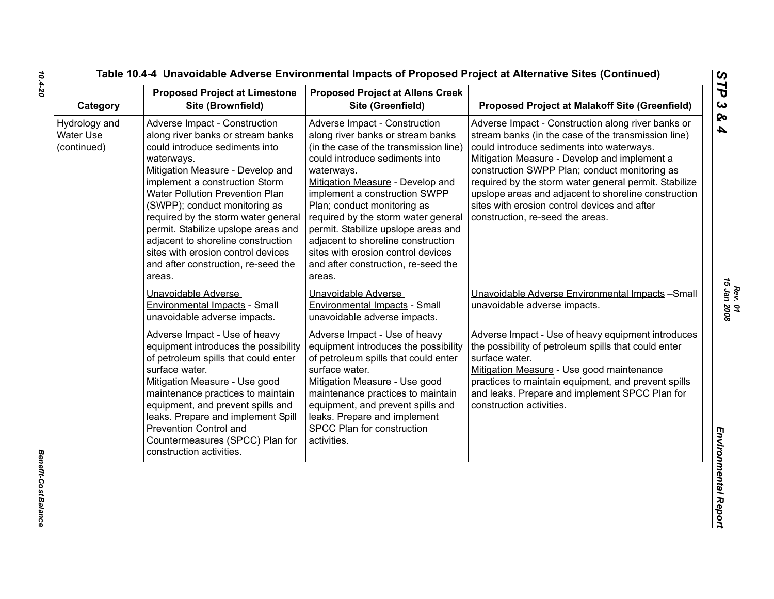| Category                                         | <b>Proposed Project at Limestone</b><br>Site (Brownfield)                                                                                                                                                                                                                                                                                                                                                                                                                      | <b>Proposed Project at Allens Creek</b><br>Site (Greenfield)                                                                                                                                                                                                                                                                                                                                                                                                                | <b>Proposed Project at Malakoff Site (Greenfield)</b>                                                                                                                                                                                                                                                                                                                                                                                                        |
|--------------------------------------------------|--------------------------------------------------------------------------------------------------------------------------------------------------------------------------------------------------------------------------------------------------------------------------------------------------------------------------------------------------------------------------------------------------------------------------------------------------------------------------------|-----------------------------------------------------------------------------------------------------------------------------------------------------------------------------------------------------------------------------------------------------------------------------------------------------------------------------------------------------------------------------------------------------------------------------------------------------------------------------|--------------------------------------------------------------------------------------------------------------------------------------------------------------------------------------------------------------------------------------------------------------------------------------------------------------------------------------------------------------------------------------------------------------------------------------------------------------|
| Hydrology and<br><b>Water Use</b><br>(continued) | Adverse Impact - Construction<br>along river banks or stream banks<br>could introduce sediments into<br>waterways.<br>Mitigation Measure - Develop and<br>implement a construction Storm<br><b>Water Pollution Prevention Plan</b><br>(SWPP); conduct monitoring as<br>required by the storm water general<br>permit. Stabilize upslope areas and<br>adjacent to shoreline construction<br>sites with erosion control devices<br>and after construction, re-seed the<br>areas. | Adverse Impact - Construction<br>along river banks or stream banks<br>(in the case of the transmission line)<br>could introduce sediments into<br>waterways.<br>Mitigation Measure - Develop and<br>implement a construction SWPP<br>Plan; conduct monitoring as<br>required by the storm water general<br>permit. Stabilize upslope areas and<br>adjacent to shoreline construction<br>sites with erosion control devices<br>and after construction, re-seed the<br>areas. | Adverse Impact - Construction along river banks or<br>stream banks (in the case of the transmission line)<br>could introduce sediments into waterways.<br>Mitigation Measure - Develop and implement a<br>construction SWPP Plan; conduct monitoring as<br>required by the storm water general permit. Stabilize<br>upslope areas and adjacent to shoreline construction<br>sites with erosion control devices and after<br>construction, re-seed the areas. |
|                                                  | Unavoidable Adverse<br><b>Environmental Impacts - Small</b><br>unavoidable adverse impacts.                                                                                                                                                                                                                                                                                                                                                                                    | Unavoidable Adverse<br>Environmental Impacts - Small<br>unavoidable adverse impacts.                                                                                                                                                                                                                                                                                                                                                                                        | Unavoidable Adverse Environmental Impacts - Small<br>unavoidable adverse impacts.                                                                                                                                                                                                                                                                                                                                                                            |
|                                                  | Adverse Impact - Use of heavy<br>equipment introduces the possibility<br>of petroleum spills that could enter<br>surface water.<br>Mitigation Measure - Use good<br>maintenance practices to maintain<br>equipment, and prevent spills and<br>leaks. Prepare and implement Spill<br>Prevention Control and<br>Countermeasures (SPCC) Plan for<br>construction activities.                                                                                                      | Adverse Impact - Use of heavy<br>equipment introduces the possibility<br>of petroleum spills that could enter<br>surface water.<br>Mitigation Measure - Use good<br>maintenance practices to maintain<br>equipment, and prevent spills and<br>leaks. Prepare and implement<br>SPCC Plan for construction<br>activities.                                                                                                                                                     | Adverse Impact - Use of heavy equipment introduces<br>the possibility of petroleum spills that could enter<br>surface water.<br>Mitigation Measure - Use good maintenance<br>practices to maintain equipment, and prevent spills<br>and leaks. Prepare and implement SPCC Plan for<br>construction activities.                                                                                                                                               |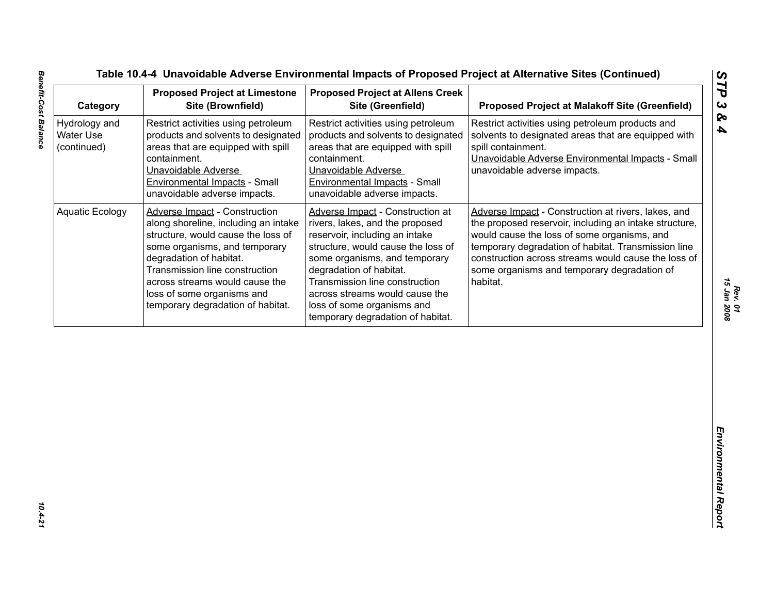| Category                                         | <b>Proposed Project at Limestone</b><br>Site (Brownfield)                                                                                                                                                                                                                                                             | <b>Proposed Project at Allens Creek</b><br>Site (Greenfield)                                                                                                                                                                                                                                                                                   | <b>Proposed Project at Malakoff Site (Greenfield)</b>                                                                                                                                                                                                                                                                                 |
|--------------------------------------------------|-----------------------------------------------------------------------------------------------------------------------------------------------------------------------------------------------------------------------------------------------------------------------------------------------------------------------|------------------------------------------------------------------------------------------------------------------------------------------------------------------------------------------------------------------------------------------------------------------------------------------------------------------------------------------------|---------------------------------------------------------------------------------------------------------------------------------------------------------------------------------------------------------------------------------------------------------------------------------------------------------------------------------------|
| Hydrology and<br><b>Water Use</b><br>(continued) | Restrict activities using petroleum<br>products and solvents to designated<br>areas that are equipped with spill<br>containment.<br>Unavoidable Adverse<br>Environmental Impacts - Small<br>unavoidable adverse impacts.                                                                                              | Restrict activities using petroleum<br>products and solvents to designated<br>areas that are equipped with spill<br>containment.<br>Unavoidable Adverse<br>Environmental Impacts - Small<br>unavoidable adverse impacts.                                                                                                                       | Restrict activities using petroleum products and<br>solvents to designated areas that are equipped with<br>spill containment.<br>Unavoidable Adverse Environmental Impacts - Small<br>unavoidable adverse impacts.                                                                                                                    |
| <b>Aquatic Ecology</b>                           | <b>Adverse Impact - Construction</b><br>along shoreline, including an intake<br>structure, would cause the loss of<br>some organisms, and temporary<br>degradation of habitat.<br>Transmission line construction<br>across streams would cause the<br>loss of some organisms and<br>temporary degradation of habitat. | Adverse Impact - Construction at<br>rivers, lakes, and the proposed<br>reservoir, including an intake<br>structure, would cause the loss of<br>some organisms, and temporary<br>degradation of habitat.<br>Transmission line construction<br>across streams would cause the<br>loss of some organisms and<br>temporary degradation of habitat. | Adverse Impact - Construction at rivers, lakes, and<br>the proposed reservoir, including an intake structure,<br>would cause the loss of some organisms, and<br>temporary degradation of habitat. Transmission line<br>construction across streams would cause the loss of<br>some organisms and temporary degradation of<br>habitat. |
|                                                  |                                                                                                                                                                                                                                                                                                                       |                                                                                                                                                                                                                                                                                                                                                |                                                                                                                                                                                                                                                                                                                                       |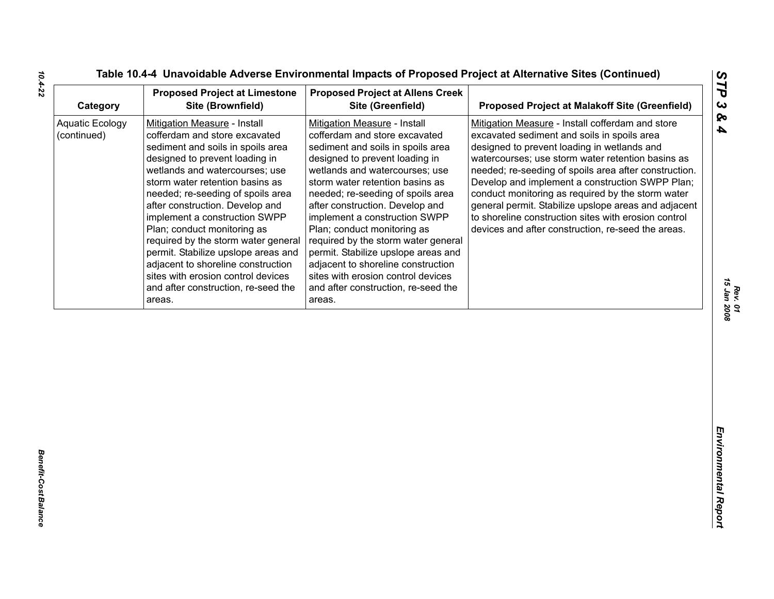| Category                              | <b>Proposed Project at Limestone</b><br>Site (Brownfield)                                                                                                                                                                                                                                                                                                                                                                                                                                                                                                    | <b>Proposed Project at Allens Creek</b><br>Site (Greenfield)                                                                                                                                                                                                                                                                                                                                                                                                                                                                                                 | <b>Proposed Project at Malakoff Site (Greenfield)</b>                                                                                                                                                                                                                                                                                                                                                                                                                                                                                      |
|---------------------------------------|--------------------------------------------------------------------------------------------------------------------------------------------------------------------------------------------------------------------------------------------------------------------------------------------------------------------------------------------------------------------------------------------------------------------------------------------------------------------------------------------------------------------------------------------------------------|--------------------------------------------------------------------------------------------------------------------------------------------------------------------------------------------------------------------------------------------------------------------------------------------------------------------------------------------------------------------------------------------------------------------------------------------------------------------------------------------------------------------------------------------------------------|--------------------------------------------------------------------------------------------------------------------------------------------------------------------------------------------------------------------------------------------------------------------------------------------------------------------------------------------------------------------------------------------------------------------------------------------------------------------------------------------------------------------------------------------|
| <b>Aquatic Ecology</b><br>(continued) | Mitigation Measure - Install<br>cofferdam and store excavated<br>sediment and soils in spoils area<br>designed to prevent loading in<br>wetlands and watercourses; use<br>storm water retention basins as<br>needed; re-seeding of spoils area<br>after construction. Develop and<br>implement a construction SWPP<br>Plan; conduct monitoring as<br>required by the storm water general<br>permit. Stabilize upslope areas and<br>adjacent to shoreline construction<br>sites with erosion control devices<br>and after construction, re-seed the<br>areas. | Mitigation Measure - Install<br>cofferdam and store excavated<br>sediment and soils in spoils area<br>designed to prevent loading in<br>wetlands and watercourses; use<br>storm water retention basins as<br>needed; re-seeding of spoils area<br>after construction. Develop and<br>implement a construction SWPP<br>Plan; conduct monitoring as<br>required by the storm water general<br>permit. Stabilize upslope areas and<br>adjacent to shoreline construction<br>sites with erosion control devices<br>and after construction, re-seed the<br>areas. | Mitigation Measure - Install cofferdam and store<br>excavated sediment and soils in spoils area<br>designed to prevent loading in wetlands and<br>watercourses; use storm water retention basins as<br>needed; re-seeding of spoils area after construction.<br>Develop and implement a construction SWPP Plan;<br>conduct monitoring as required by the storm water<br>general permit. Stabilize upslope areas and adjacent<br>to shoreline construction sites with erosion control<br>devices and after construction, re-seed the areas. |
|                                       |                                                                                                                                                                                                                                                                                                                                                                                                                                                                                                                                                              |                                                                                                                                                                                                                                                                                                                                                                                                                                                                                                                                                              |                                                                                                                                                                                                                                                                                                                                                                                                                                                                                                                                            |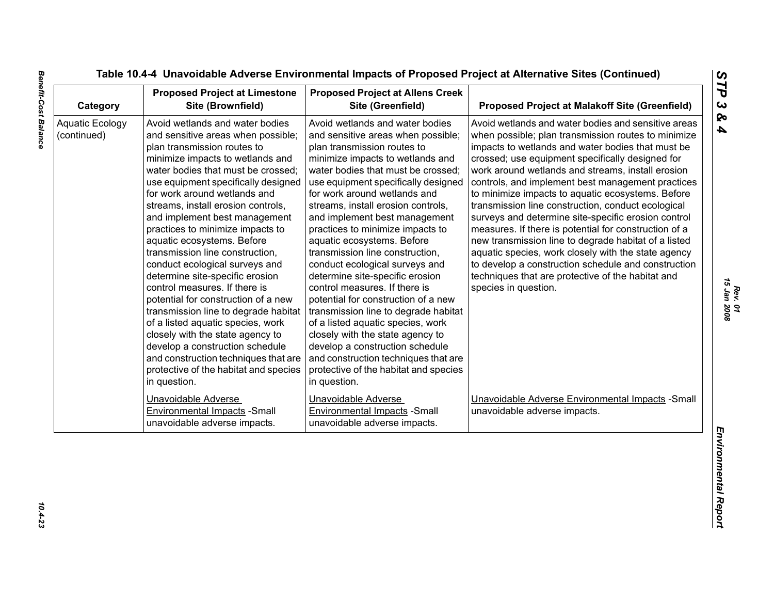| Category                              | <b>Proposed Project at Limestone</b><br>Site (Brownfield)                                                                                                                                                                                                                                                                                                                                                                                                                                                                                                                                                                                                                                                                                                                                                                           | <b>Proposed Project at Allens Creek</b><br>Site (Greenfield)                                                                                                                                                                                                                                                                                                                                                                                                                                                                                                                                                                                                                                                                                                                                                                        | <b>Proposed Project at Malakoff Site (Greenfield)</b>                                                                                                                                                                                                                                                                                                                                                                                                                                                                                                                                                                                                                                                                                                                                                       |
|---------------------------------------|-------------------------------------------------------------------------------------------------------------------------------------------------------------------------------------------------------------------------------------------------------------------------------------------------------------------------------------------------------------------------------------------------------------------------------------------------------------------------------------------------------------------------------------------------------------------------------------------------------------------------------------------------------------------------------------------------------------------------------------------------------------------------------------------------------------------------------------|-------------------------------------------------------------------------------------------------------------------------------------------------------------------------------------------------------------------------------------------------------------------------------------------------------------------------------------------------------------------------------------------------------------------------------------------------------------------------------------------------------------------------------------------------------------------------------------------------------------------------------------------------------------------------------------------------------------------------------------------------------------------------------------------------------------------------------------|-------------------------------------------------------------------------------------------------------------------------------------------------------------------------------------------------------------------------------------------------------------------------------------------------------------------------------------------------------------------------------------------------------------------------------------------------------------------------------------------------------------------------------------------------------------------------------------------------------------------------------------------------------------------------------------------------------------------------------------------------------------------------------------------------------------|
| <b>Aquatic Ecology</b><br>(continued) | Avoid wetlands and water bodies<br>and sensitive areas when possible;<br>plan transmission routes to<br>minimize impacts to wetlands and<br>water bodies that must be crossed;<br>use equipment specifically designed<br>for work around wetlands and<br>streams, install erosion controls,<br>and implement best management<br>practices to minimize impacts to<br>aquatic ecosystems. Before<br>transmission line construction,<br>conduct ecological surveys and<br>determine site-specific erosion<br>control measures. If there is<br>potential for construction of a new<br>transmission line to degrade habitat<br>of a listed aquatic species, work<br>closely with the state agency to<br>develop a construction schedule<br>and construction techniques that are<br>protective of the habitat and species<br>in question. | Avoid wetlands and water bodies<br>and sensitive areas when possible;<br>plan transmission routes to<br>minimize impacts to wetlands and<br>water bodies that must be crossed;<br>use equipment specifically designed<br>for work around wetlands and<br>streams, install erosion controls,<br>and implement best management<br>practices to minimize impacts to<br>aquatic ecosystems. Before<br>transmission line construction,<br>conduct ecological surveys and<br>determine site-specific erosion<br>control measures. If there is<br>potential for construction of a new<br>transmission line to degrade habitat<br>of a listed aquatic species, work<br>closely with the state agency to<br>develop a construction schedule<br>and construction techniques that are<br>protective of the habitat and species<br>in question. | Avoid wetlands and water bodies and sensitive areas<br>when possible; plan transmission routes to minimize<br>impacts to wetlands and water bodies that must be<br>crossed; use equipment specifically designed for<br>work around wetlands and streams, install erosion<br>controls, and implement best management practices<br>to minimize impacts to aquatic ecosystems. Before<br>transmission line construction, conduct ecological<br>surveys and determine site-specific erosion control<br>measures. If there is potential for construction of a<br>new transmission line to degrade habitat of a listed<br>aquatic species, work closely with the state agency<br>to develop a construction schedule and construction<br>techniques that are protective of the habitat and<br>species in question. |
|                                       | Unavoidable Adverse<br><b>Environmental Impacts - Small</b><br>unavoidable adverse impacts.                                                                                                                                                                                                                                                                                                                                                                                                                                                                                                                                                                                                                                                                                                                                         | Unavoidable Adverse<br><b>Environmental Impacts - Small</b><br>unavoidable adverse impacts.                                                                                                                                                                                                                                                                                                                                                                                                                                                                                                                                                                                                                                                                                                                                         | Unavoidable Adverse Environmental Impacts - Small<br>unavoidable adverse impacts.                                                                                                                                                                                                                                                                                                                                                                                                                                                                                                                                                                                                                                                                                                                           |

10.4-23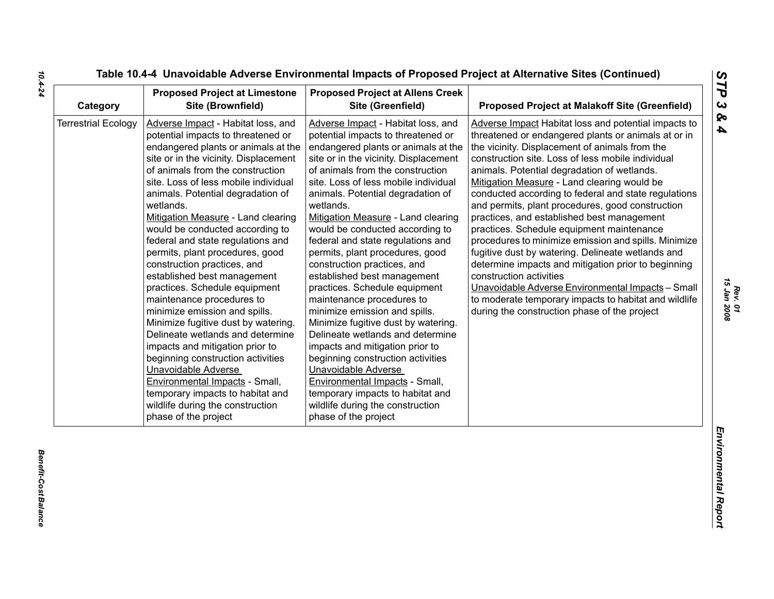| <b>Terrestrial Ecology</b> |                                                                                                                                                                                                                                                                                                                                                                                                                                                                                                                                                                                                                                                                                                                                                                                                                                                                                                                  | Site (Greenfield)                                                                                                                                                                                                                                                                                                                                                                                                                                                                                                                                                                                                                                                                                                                                                                                                                                                                                                | <b>Proposed Project at Malakoff Site (Greenfield)</b>                                                                                                                                                                                                                                                                                                                                                                                                                                                                                                                                                                                                                                                                                                                                                                                                                                |
|----------------------------|------------------------------------------------------------------------------------------------------------------------------------------------------------------------------------------------------------------------------------------------------------------------------------------------------------------------------------------------------------------------------------------------------------------------------------------------------------------------------------------------------------------------------------------------------------------------------------------------------------------------------------------------------------------------------------------------------------------------------------------------------------------------------------------------------------------------------------------------------------------------------------------------------------------|------------------------------------------------------------------------------------------------------------------------------------------------------------------------------------------------------------------------------------------------------------------------------------------------------------------------------------------------------------------------------------------------------------------------------------------------------------------------------------------------------------------------------------------------------------------------------------------------------------------------------------------------------------------------------------------------------------------------------------------------------------------------------------------------------------------------------------------------------------------------------------------------------------------|--------------------------------------------------------------------------------------------------------------------------------------------------------------------------------------------------------------------------------------------------------------------------------------------------------------------------------------------------------------------------------------------------------------------------------------------------------------------------------------------------------------------------------------------------------------------------------------------------------------------------------------------------------------------------------------------------------------------------------------------------------------------------------------------------------------------------------------------------------------------------------------|
|                            | Adverse Impact - Habitat loss, and<br>potential impacts to threatened or<br>endangered plants or animals at the<br>site or in the vicinity. Displacement<br>of animals from the construction<br>site. Loss of less mobile individual<br>animals. Potential degradation of<br>wetlands.<br>Mitigation Measure - Land clearing<br>would be conducted according to<br>federal and state regulations and<br>permits, plant procedures, good<br>construction practices, and<br>established best management<br>practices. Schedule equipment<br>maintenance procedures to<br>minimize emission and spills.<br>Minimize fugitive dust by watering.<br>Delineate wetlands and determine<br>impacts and mitigation prior to<br>beginning construction activities<br>Unavoidable Adverse<br>Environmental Impacts - Small,<br>temporary impacts to habitat and<br>wildlife during the construction<br>phase of the project | Adverse Impact - Habitat loss, and<br>potential impacts to threatened or<br>endangered plants or animals at the<br>site or in the vicinity. Displacement<br>of animals from the construction<br>site. Loss of less mobile individual<br>animals. Potential degradation of<br>wetlands.<br>Mitigation Measure - Land clearing<br>would be conducted according to<br>federal and state regulations and<br>permits, plant procedures, good<br>construction practices, and<br>established best management<br>practices. Schedule equipment<br>maintenance procedures to<br>minimize emission and spills.<br>Minimize fugitive dust by watering.<br>Delineate wetlands and determine<br>impacts and mitigation prior to<br>beginning construction activities<br>Unavoidable Adverse<br>Environmental Impacts - Small,<br>temporary impacts to habitat and<br>wildlife during the construction<br>phase of the project | Adverse Impact Habitat loss and potential impacts to<br>threatened or endangered plants or animals at or in<br>the vicinity. Displacement of animals from the<br>construction site. Loss of less mobile individual<br>animals. Potential degradation of wetlands.<br>Mitigation Measure - Land clearing would be<br>conducted according to federal and state regulations<br>and permits, plant procedures, good construction<br>practices, and established best management<br>practices. Schedule equipment maintenance<br>procedures to minimize emission and spills. Minimize<br>fugitive dust by watering. Delineate wetlands and<br>determine impacts and mitigation prior to beginning<br>construction activities<br>Unavoidable Adverse Environmental Impacts - Small<br>to moderate temporary impacts to habitat and wildlife<br>during the construction phase of the project |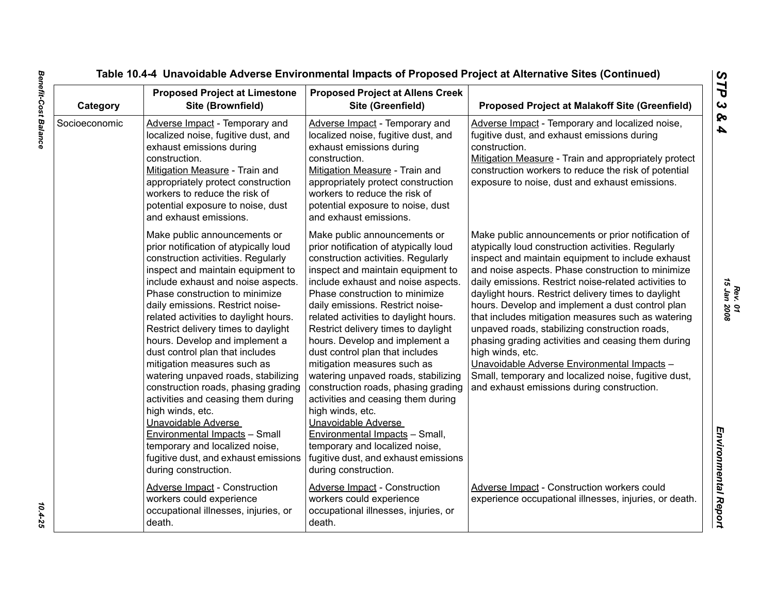| Category      | <b>Proposed Project at Limestone</b><br>Site (Brownfield)                                                                                                                                                                                                                                                                                                                                                                                                                                                                                                                                                                                                                                                                                                 | <b>Proposed Project at Allens Creek</b><br>Site (Greenfield)                                                                                                                                                                                                                                                                                                                                                                                                                                                                                                                                                                                                                                                                                        | <b>Proposed Project at Malakoff Site (Greenfield)</b>                                                                                                                                                                                                                                                                                                                                                                                                                                                                                                                                                                                                                                                                         |
|---------------|-----------------------------------------------------------------------------------------------------------------------------------------------------------------------------------------------------------------------------------------------------------------------------------------------------------------------------------------------------------------------------------------------------------------------------------------------------------------------------------------------------------------------------------------------------------------------------------------------------------------------------------------------------------------------------------------------------------------------------------------------------------|-----------------------------------------------------------------------------------------------------------------------------------------------------------------------------------------------------------------------------------------------------------------------------------------------------------------------------------------------------------------------------------------------------------------------------------------------------------------------------------------------------------------------------------------------------------------------------------------------------------------------------------------------------------------------------------------------------------------------------------------------------|-------------------------------------------------------------------------------------------------------------------------------------------------------------------------------------------------------------------------------------------------------------------------------------------------------------------------------------------------------------------------------------------------------------------------------------------------------------------------------------------------------------------------------------------------------------------------------------------------------------------------------------------------------------------------------------------------------------------------------|
| Socioeconomic | Adverse Impact - Temporary and<br>localized noise, fugitive dust, and<br>exhaust emissions during<br>construction.<br>Mitigation Measure - Train and<br>appropriately protect construction<br>workers to reduce the risk of<br>potential exposure to noise, dust<br>and exhaust emissions.                                                                                                                                                                                                                                                                                                                                                                                                                                                                | Adverse Impact - Temporary and<br>localized noise, fugitive dust, and<br>exhaust emissions during<br>construction.<br>Mitigation Measure - Train and<br>appropriately protect construction<br>workers to reduce the risk of<br>potential exposure to noise, dust<br>and exhaust emissions.                                                                                                                                                                                                                                                                                                                                                                                                                                                          | Adverse Impact - Temporary and localized noise,<br>fugitive dust, and exhaust emissions during<br>construction.<br>Mitigation Measure - Train and appropriately protect<br>construction workers to reduce the risk of potential<br>exposure to noise, dust and exhaust emissions.                                                                                                                                                                                                                                                                                                                                                                                                                                             |
|               | Make public announcements or<br>prior notification of atypically loud<br>construction activities. Regularly<br>inspect and maintain equipment to<br>include exhaust and noise aspects.<br>Phase construction to minimize<br>daily emissions. Restrict noise-<br>related activities to daylight hours.<br>Restrict delivery times to daylight<br>hours. Develop and implement a<br>dust control plan that includes<br>mitigation measures such as<br>watering unpaved roads, stabilizing<br>construction roads, phasing grading<br>activities and ceasing them during<br>high winds, etc.<br>Unavoidable Adverse<br><b>Environmental Impacts - Small</b><br>temporary and localized noise,<br>fugitive dust, and exhaust emissions<br>during construction. | Make public announcements or<br>prior notification of atypically loud<br>construction activities. Regularly<br>inspect and maintain equipment to<br>include exhaust and noise aspects.<br>Phase construction to minimize<br>daily emissions. Restrict noise-<br>related activities to daylight hours.<br>Restrict delivery times to daylight<br>hours. Develop and implement a<br>dust control plan that includes<br>mitigation measures such as<br>watering unpaved roads, stabilizing<br>construction roads, phasing grading<br>activities and ceasing them during<br>high winds, etc.<br>Unavoidable Adverse<br>Environmental Impacts - Small,<br>temporary and localized noise,<br>fugitive dust, and exhaust emissions<br>during construction. | Make public announcements or prior notification of<br>atypically loud construction activities. Regularly<br>inspect and maintain equipment to include exhaust<br>and noise aspects. Phase construction to minimize<br>daily emissions. Restrict noise-related activities to<br>daylight hours. Restrict delivery times to daylight<br>hours. Develop and implement a dust control plan<br>that includes mitigation measures such as watering<br>unpaved roads, stabilizing construction roads,<br>phasing grading activities and ceasing them during<br>high winds, etc.<br>Unavoidable Adverse Environmental Impacts -<br>Small, temporary and localized noise, fugitive dust,<br>and exhaust emissions during construction. |
|               | <b>Adverse Impact - Construction</b><br>workers could experience<br>occupational illnesses, injuries, or<br>death.                                                                                                                                                                                                                                                                                                                                                                                                                                                                                                                                                                                                                                        | Adverse Impact - Construction<br>workers could experience<br>occupational illnesses, injuries, or<br>death.                                                                                                                                                                                                                                                                                                                                                                                                                                                                                                                                                                                                                                         | Adverse Impact - Construction workers could<br>experience occupational illnesses, injuries, or death.                                                                                                                                                                                                                                                                                                                                                                                                                                                                                                                                                                                                                         |

 $10.4 - 25$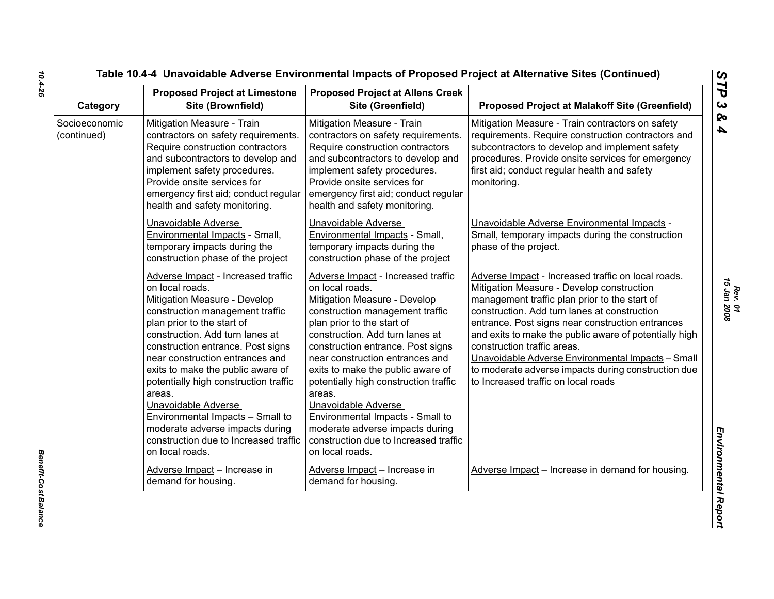| Category                     | <b>Proposed Project at Limestone</b><br>Site (Brownfield)                                                                                                                                                                                                                                                                                                                                                                                                                                                                  | <b>Proposed Project at Allens Creek</b><br>Site (Greenfield)                                                                                                                                                                                                                                                                                                                                                                                                                                                                      | <b>Proposed Project at Malakoff Site (Greenfield)</b>                                                                                                                                                                                                                                                                                                                                                                                                                                            |
|------------------------------|----------------------------------------------------------------------------------------------------------------------------------------------------------------------------------------------------------------------------------------------------------------------------------------------------------------------------------------------------------------------------------------------------------------------------------------------------------------------------------------------------------------------------|-----------------------------------------------------------------------------------------------------------------------------------------------------------------------------------------------------------------------------------------------------------------------------------------------------------------------------------------------------------------------------------------------------------------------------------------------------------------------------------------------------------------------------------|--------------------------------------------------------------------------------------------------------------------------------------------------------------------------------------------------------------------------------------------------------------------------------------------------------------------------------------------------------------------------------------------------------------------------------------------------------------------------------------------------|
| Socioeconomic<br>(continued) | Mitigation Measure - Train<br>contractors on safety requirements.<br>Require construction contractors<br>and subcontractors to develop and<br>implement safety procedures.<br>Provide onsite services for<br>emergency first aid; conduct regular<br>health and safety monitoring.                                                                                                                                                                                                                                         | Mitigation Measure - Train<br>contractors on safety requirements.<br>Require construction contractors<br>and subcontractors to develop and<br>implement safety procedures.<br>Provide onsite services for<br>emergency first aid; conduct regular<br>health and safety monitoring.                                                                                                                                                                                                                                                | Mitigation Measure - Train contractors on safety<br>requirements. Require construction contractors and<br>subcontractors to develop and implement safety<br>procedures. Provide onsite services for emergency<br>first aid; conduct regular health and safety<br>monitoring.                                                                                                                                                                                                                     |
|                              | Unavoidable Adverse<br>Environmental Impacts - Small,<br>temporary impacts during the<br>construction phase of the project                                                                                                                                                                                                                                                                                                                                                                                                 | Unavoidable Adverse<br>Environmental Impacts - Small,<br>temporary impacts during the<br>construction phase of the project                                                                                                                                                                                                                                                                                                                                                                                                        | Unavoidable Adverse Environmental Impacts -<br>Small, temporary impacts during the construction<br>phase of the project.                                                                                                                                                                                                                                                                                                                                                                         |
|                              | Adverse Impact - Increased traffic<br>on local roads.<br>Mitigation Measure - Develop<br>construction management traffic<br>plan prior to the start of<br>construction. Add turn lanes at<br>construction entrance. Post signs<br>near construction entrances and<br>exits to make the public aware of<br>potentially high construction traffic<br>areas.<br>Unavoidable Adverse<br><b>Environmental Impacts - Small to</b><br>moderate adverse impacts during<br>construction due to Increased traffic<br>on local roads. | Adverse Impact - Increased traffic<br>on local roads.<br><b>Mitigation Measure - Develop</b><br>construction management traffic<br>plan prior to the start of<br>construction. Add turn lanes at<br>construction entrance. Post signs<br>near construction entrances and<br>exits to make the public aware of<br>potentially high construction traffic<br>areas.<br>Unavoidable Adverse<br><b>Environmental Impacts - Small to</b><br>moderate adverse impacts during<br>construction due to Increased traffic<br>on local roads. | Adverse Impact - Increased traffic on local roads.<br>Mitigation Measure - Develop construction<br>management traffic plan prior to the start of<br>construction. Add turn lanes at construction<br>entrance. Post signs near construction entrances<br>and exits to make the public aware of potentially high<br>construction traffic areas.<br>Unavoidable Adverse Environmental Impacts - Small<br>to moderate adverse impacts during construction due<br>to Increased traffic on local roads |
|                              | Adverse Impact - Increase in<br>demand for housing.                                                                                                                                                                                                                                                                                                                                                                                                                                                                        | Adverse Impact - Increase in<br>demand for housing.                                                                                                                                                                                                                                                                                                                                                                                                                                                                               | Adverse Impact - Increase in demand for housing.                                                                                                                                                                                                                                                                                                                                                                                                                                                 |

*Rev. 01*<br>15 Jan 2008 *15 Jan 2008*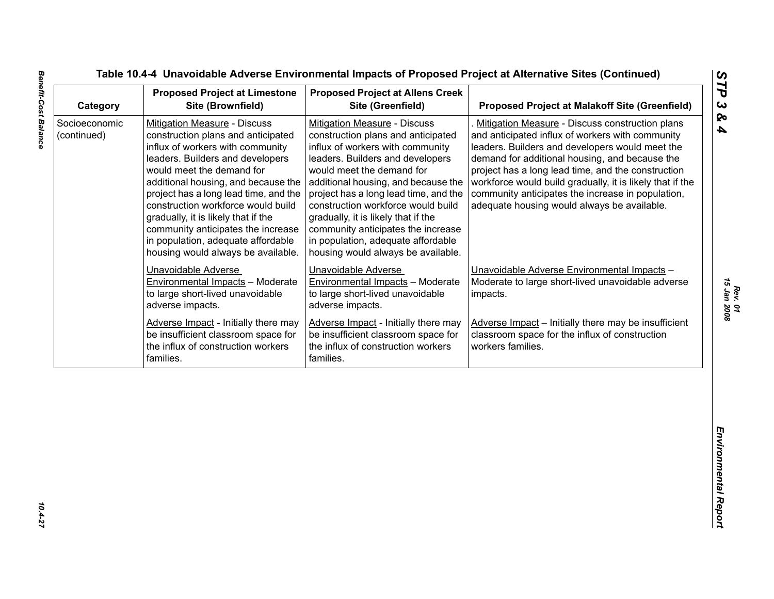| Socioeconomic<br><b>Mitigation Measure - Discuss</b><br><b>Mitigation Measure - Discuss</b><br>(continued)<br>construction plans and anticipated<br>construction plans and anticipated<br>influx of workers with community<br>influx of workers with community<br>leaders. Builders and developers<br>leaders. Builders and developers<br>would meet the demand for<br>would meet the demand for<br>additional housing, and because the<br>additional housing, and because the<br>project has a long lead time, and the<br>project has a long lead time, and the<br>construction workforce would build<br>construction workforce would build<br>gradually, it is likely that if the<br>gradually, it is likely that if the<br>community anticipates the increase<br>community anticipates the increase<br>in population, adequate affordable<br>in population, adequate affordable<br>housing would always be available. | Mitigation Measure - Discuss construction plans<br>and anticipated influx of workers with community<br>leaders. Builders and developers would meet the<br>demand for additional housing, and because the<br>project has a long lead time, and the construction<br>workforce would build gradually, it is likely that if the<br>community anticipates the increase in population,<br>adequate housing would always be available.<br>housing would always be available.<br>Unavoidable Adverse<br>Unavoidable Adverse Environmental Impacts -<br><b>Environmental Impacts - Moderate</b><br>Moderate to large short-lived unavoidable adverse<br>to large short-lived unavoidable<br>impacts.<br>adverse impacts.<br>Adverse Impact - Initially there may<br>Adverse Impact - Initially there may be insufficient<br>be insufficient classroom space for<br>classroom space for the influx of construction<br>workers families.<br>the influx of construction workers<br>families. | <b>Proposed Project at Limestone</b><br>Site (Brownfield) | <b>Proposed Project at Allens Creek</b><br>Site (Greenfield) | <b>Proposed Project at Malakoff Site (Greenfield)</b> |
|--------------------------------------------------------------------------------------------------------------------------------------------------------------------------------------------------------------------------------------------------------------------------------------------------------------------------------------------------------------------------------------------------------------------------------------------------------------------------------------------------------------------------------------------------------------------------------------------------------------------------------------------------------------------------------------------------------------------------------------------------------------------------------------------------------------------------------------------------------------------------------------------------------------------------|----------------------------------------------------------------------------------------------------------------------------------------------------------------------------------------------------------------------------------------------------------------------------------------------------------------------------------------------------------------------------------------------------------------------------------------------------------------------------------------------------------------------------------------------------------------------------------------------------------------------------------------------------------------------------------------------------------------------------------------------------------------------------------------------------------------------------------------------------------------------------------------------------------------------------------------------------------------------------------|-----------------------------------------------------------|--------------------------------------------------------------|-------------------------------------------------------|
|                                                                                                                                                                                                                                                                                                                                                                                                                                                                                                                                                                                                                                                                                                                                                                                                                                                                                                                          |                                                                                                                                                                                                                                                                                                                                                                                                                                                                                                                                                                                                                                                                                                                                                                                                                                                                                                                                                                                  |                                                           |                                                              |                                                       |
| Unavoidable Adverse<br>Environmental Impacts - Moderate<br>to large short-lived unavoidable<br>adverse impacts.                                                                                                                                                                                                                                                                                                                                                                                                                                                                                                                                                                                                                                                                                                                                                                                                          |                                                                                                                                                                                                                                                                                                                                                                                                                                                                                                                                                                                                                                                                                                                                                                                                                                                                                                                                                                                  |                                                           |                                                              |                                                       |
| Adverse Impact - Initially there may<br>be insufficient classroom space for<br>the influx of construction workers<br>families.                                                                                                                                                                                                                                                                                                                                                                                                                                                                                                                                                                                                                                                                                                                                                                                           |                                                                                                                                                                                                                                                                                                                                                                                                                                                                                                                                                                                                                                                                                                                                                                                                                                                                                                                                                                                  |                                                           |                                                              |                                                       |
|                                                                                                                                                                                                                                                                                                                                                                                                                                                                                                                                                                                                                                                                                                                                                                                                                                                                                                                          |                                                                                                                                                                                                                                                                                                                                                                                                                                                                                                                                                                                                                                                                                                                                                                                                                                                                                                                                                                                  |                                                           |                                                              |                                                       |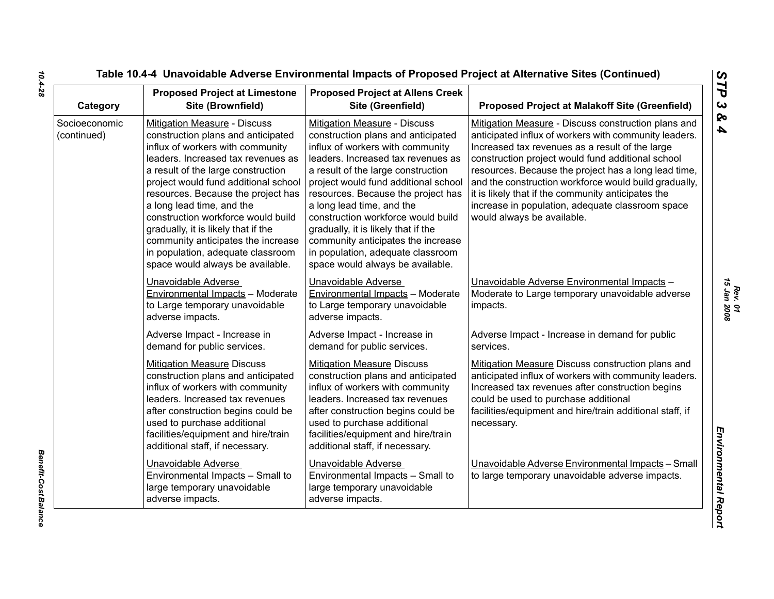| Category                     | <b>Proposed Project at Limestone</b><br>Site (Brownfield)                                                                                                                                                                                                                                                                                                                                                                                                                                 | <b>Proposed Project at Allens Creek</b><br>Site (Greenfield)                                                                                                                                                                                                                                                                                                                                                                                                                                     | <b>Proposed Project at Malakoff Site (Greenfield)</b>                                                                                                                                                                                                                                                                                                                                                                                                                         |
|------------------------------|-------------------------------------------------------------------------------------------------------------------------------------------------------------------------------------------------------------------------------------------------------------------------------------------------------------------------------------------------------------------------------------------------------------------------------------------------------------------------------------------|--------------------------------------------------------------------------------------------------------------------------------------------------------------------------------------------------------------------------------------------------------------------------------------------------------------------------------------------------------------------------------------------------------------------------------------------------------------------------------------------------|-------------------------------------------------------------------------------------------------------------------------------------------------------------------------------------------------------------------------------------------------------------------------------------------------------------------------------------------------------------------------------------------------------------------------------------------------------------------------------|
| Socioeconomic<br>(continued) | Mitigation Measure - Discuss<br>construction plans and anticipated<br>influx of workers with community<br>leaders. Increased tax revenues as<br>a result of the large construction<br>project would fund additional school<br>resources. Because the project has<br>a long lead time, and the<br>construction workforce would build<br>gradually, it is likely that if the<br>community anticipates the increase<br>in population, adequate classroom<br>space would always be available. | <b>Mitigation Measure - Discuss</b><br>construction plans and anticipated<br>influx of workers with community<br>leaders. Increased tax revenues as<br>a result of the large construction<br>project would fund additional school<br>resources. Because the project has<br>a long lead time, and the<br>construction workforce would build<br>gradually, it is likely that if the<br>community anticipates the increase<br>in population, adequate classroom<br>space would always be available. | Mitigation Measure - Discuss construction plans and<br>anticipated influx of workers with community leaders.<br>Increased tax revenues as a result of the large<br>construction project would fund additional school<br>resources. Because the project has a long lead time,<br>and the construction workforce would build gradually,<br>it is likely that if the community anticipates the<br>increase in population, adequate classroom space<br>would always be available. |
|                              | Unavoidable Adverse<br>Environmental Impacts - Moderate<br>to Large temporary unavoidable<br>adverse impacts.                                                                                                                                                                                                                                                                                                                                                                             | Unavoidable Adverse<br>Environmental Impacts - Moderate<br>to Large temporary unavoidable<br>adverse impacts.                                                                                                                                                                                                                                                                                                                                                                                    | Unavoidable Adverse Environmental Impacts -<br>Moderate to Large temporary unavoidable adverse<br>impacts.                                                                                                                                                                                                                                                                                                                                                                    |
|                              | Adverse Impact - Increase in<br>demand for public services.                                                                                                                                                                                                                                                                                                                                                                                                                               | Adverse Impact - Increase in<br>demand for public services.                                                                                                                                                                                                                                                                                                                                                                                                                                      | Adverse Impact - Increase in demand for public<br>services.                                                                                                                                                                                                                                                                                                                                                                                                                   |
|                              | <b>Mitigation Measure Discuss</b><br>construction plans and anticipated<br>influx of workers with community<br>leaders. Increased tax revenues<br>after construction begins could be<br>used to purchase additional<br>facilities/equipment and hire/train<br>additional staff, if necessary.                                                                                                                                                                                             | <b>Mitigation Measure Discuss</b><br>construction plans and anticipated<br>influx of workers with community<br>leaders. Increased tax revenues<br>after construction begins could be<br>used to purchase additional<br>facilities/equipment and hire/train<br>additional staff, if necessary.                                                                                                                                                                                                    | Mitigation Measure Discuss construction plans and<br>anticipated influx of workers with community leaders.<br>Increased tax revenues after construction begins<br>could be used to purchase additional<br>facilities/equipment and hire/train additional staff, if<br>necessary.                                                                                                                                                                                              |
|                              | Unavoidable Adverse<br>Environmental Impacts - Small to<br>large temporary unavoidable<br>adverse impacts.                                                                                                                                                                                                                                                                                                                                                                                | Unavoidable Adverse<br>Environmental Impacts - Small to<br>large temporary unavoidable<br>adverse impacts.                                                                                                                                                                                                                                                                                                                                                                                       | Unavoidable Adverse Environmental Impacts - Small<br>to large temporary unavoidable adverse impacts.                                                                                                                                                                                                                                                                                                                                                                          |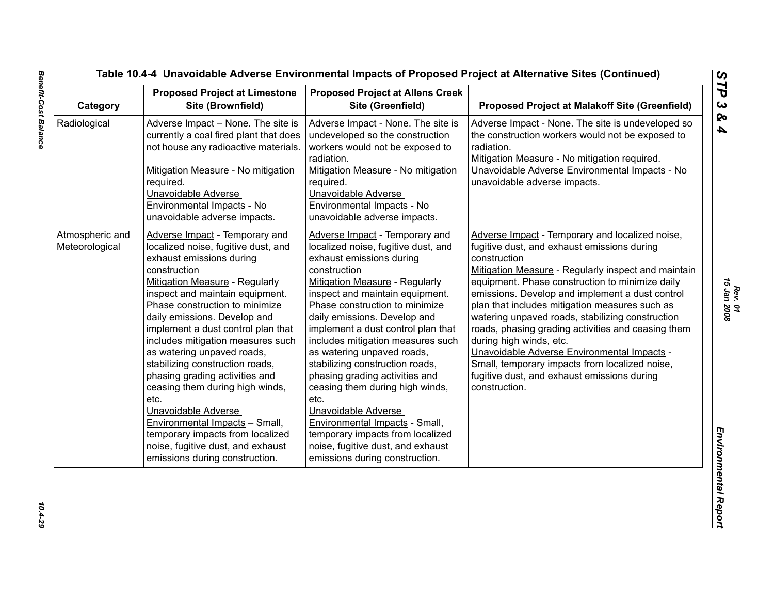| Category                          | <b>Proposed Project at Limestone</b><br>Site (Brownfield)                                                                                                                                                                                                                                                                                                                                                                                                                                                                                                                                                                                             | <b>Proposed Project at Allens Creek</b><br>Site (Greenfield)                                                                                                                                                                                                                                                                                                                                                                                                                                                                                                                                                                                                 | <b>Proposed Project at Malakoff Site (Greenfield)</b>                                                                                                                                                                                                                                                                                                                                                                                                                                                                                                                                                                               |
|-----------------------------------|-------------------------------------------------------------------------------------------------------------------------------------------------------------------------------------------------------------------------------------------------------------------------------------------------------------------------------------------------------------------------------------------------------------------------------------------------------------------------------------------------------------------------------------------------------------------------------------------------------------------------------------------------------|--------------------------------------------------------------------------------------------------------------------------------------------------------------------------------------------------------------------------------------------------------------------------------------------------------------------------------------------------------------------------------------------------------------------------------------------------------------------------------------------------------------------------------------------------------------------------------------------------------------------------------------------------------------|-------------------------------------------------------------------------------------------------------------------------------------------------------------------------------------------------------------------------------------------------------------------------------------------------------------------------------------------------------------------------------------------------------------------------------------------------------------------------------------------------------------------------------------------------------------------------------------------------------------------------------------|
| Radiological                      | Adverse Impact - None. The site is<br>currently a coal fired plant that does<br>not house any radioactive materials.<br>Mitigation Measure - No mitigation<br>required.<br>Unavoidable Adverse<br>Environmental Impacts - No<br>unavoidable adverse impacts.                                                                                                                                                                                                                                                                                                                                                                                          | Adverse Impact - None. The site is<br>undeveloped so the construction<br>workers would not be exposed to<br>radiation.<br>Mitigation Measure - No mitigation<br>required.<br>Unavoidable Adverse<br>Environmental Impacts - No<br>unavoidable adverse impacts.                                                                                                                                                                                                                                                                                                                                                                                               | Adverse Impact - None. The site is undeveloped so<br>the construction workers would not be exposed to<br>radiation.<br>Mitigation Measure - No mitigation required.<br>Unavoidable Adverse Environmental Impacts - No<br>unavoidable adverse impacts.                                                                                                                                                                                                                                                                                                                                                                               |
| Atmospheric and<br>Meteorological | Adverse Impact - Temporary and<br>localized noise, fugitive dust, and<br>exhaust emissions during<br>construction<br>Mitigation Measure - Regularly<br>inspect and maintain equipment.<br>Phase construction to minimize<br>daily emissions. Develop and<br>implement a dust control plan that<br>includes mitigation measures such<br>as watering unpaved roads,<br>stabilizing construction roads,<br>phasing grading activities and<br>ceasing them during high winds,<br>etc.<br>Unavoidable Adverse<br>Environmental Impacts - Small,<br>temporary impacts from localized<br>noise, fugitive dust, and exhaust<br>emissions during construction. | Adverse Impact - Temporary and<br>localized noise, fugitive dust, and<br>exhaust emissions during<br>construction<br><b>Mitigation Measure - Regularly</b><br>inspect and maintain equipment.<br>Phase construction to minimize<br>daily emissions. Develop and<br>implement a dust control plan that<br>includes mitigation measures such<br>as watering unpaved roads,<br>stabilizing construction roads,<br>phasing grading activities and<br>ceasing them during high winds,<br>etc.<br>Unavoidable Adverse<br>Environmental Impacts - Small,<br>temporary impacts from localized<br>noise, fugitive dust, and exhaust<br>emissions during construction. | Adverse Impact - Temporary and localized noise,<br>fugitive dust, and exhaust emissions during<br>construction<br>Mitigation Measure - Regularly inspect and maintain<br>equipment. Phase construction to minimize daily<br>emissions. Develop and implement a dust control<br>plan that includes mitigation measures such as<br>watering unpaved roads, stabilizing construction<br>roads, phasing grading activities and ceasing them<br>during high winds, etc.<br>Unavoidable Adverse Environmental Impacts -<br>Small, temporary impacts from localized noise,<br>fugitive dust, and exhaust emissions during<br>construction. |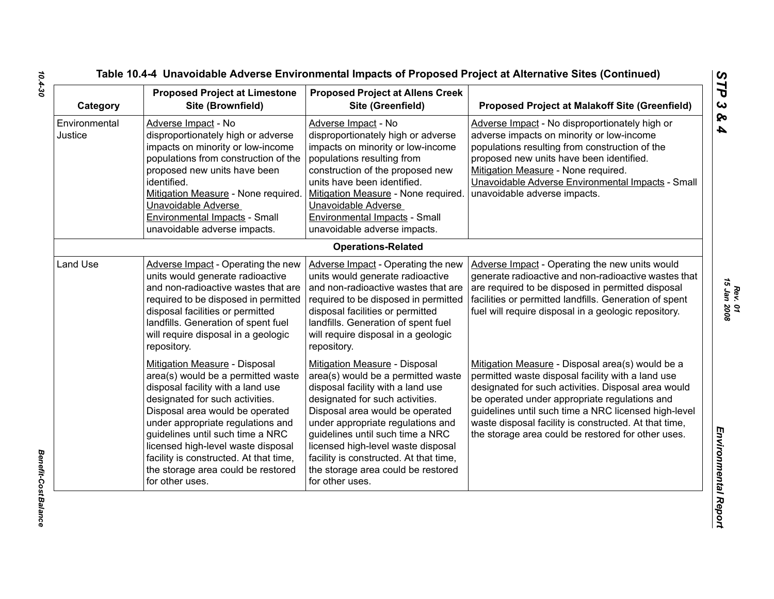| Category                 | <b>Proposed Project at Limestone</b><br>Site (Brownfield)                                                                                                                                                                                                                                                                                                                                        | <b>Proposed Project at Allens Creek</b><br>Site (Greenfield)                                                                                                                                                                                                                                                                                                                                     | <b>Proposed Project at Malakoff Site (Greenfield)</b>                                                                                                                                                                                                                                                                                                                                |
|--------------------------|--------------------------------------------------------------------------------------------------------------------------------------------------------------------------------------------------------------------------------------------------------------------------------------------------------------------------------------------------------------------------------------------------|--------------------------------------------------------------------------------------------------------------------------------------------------------------------------------------------------------------------------------------------------------------------------------------------------------------------------------------------------------------------------------------------------|--------------------------------------------------------------------------------------------------------------------------------------------------------------------------------------------------------------------------------------------------------------------------------------------------------------------------------------------------------------------------------------|
| Environmental<br>Justice | Adverse Impact - No<br>disproportionately high or adverse<br>impacts on minority or low-income<br>populations from construction of the<br>proposed new units have been<br>identified.<br>Mitigation Measure - None required.<br>Unavoidable Adverse<br>Environmental Impacts - Small<br>unavoidable adverse impacts.                                                                             | Adverse Impact - No<br>disproportionately high or adverse<br>impacts on minority or low-income<br>populations resulting from<br>construction of the proposed new<br>units have been identified.<br>Mitigation Measure - None required.<br>Unavoidable Adverse<br><b>Environmental Impacts - Small</b><br>unavoidable adverse impacts.                                                            | Adverse Impact - No disproportionately high or<br>adverse impacts on minority or low-income<br>populations resulting from construction of the<br>proposed new units have been identified.<br>Mitigation Measure - None required.<br>Unavoidable Adverse Environmental Impacts - Small<br>unavoidable adverse impacts.                                                                |
|                          |                                                                                                                                                                                                                                                                                                                                                                                                  | <b>Operations-Related</b>                                                                                                                                                                                                                                                                                                                                                                        |                                                                                                                                                                                                                                                                                                                                                                                      |
| Land Use                 | Adverse Impact - Operating the new<br>units would generate radioactive<br>and non-radioactive wastes that are<br>required to be disposed in permitted<br>disposal facilities or permitted<br>landfills. Generation of spent fuel<br>will require disposal in a geologic<br>repository.                                                                                                           | Adverse Impact - Operating the new<br>units would generate radioactive<br>and non-radioactive wastes that are<br>required to be disposed in permitted<br>disposal facilities or permitted<br>landfills. Generation of spent fuel<br>will require disposal in a geologic<br>repository.                                                                                                           | Adverse Impact - Operating the new units would<br>generate radioactive and non-radioactive wastes that<br>are required to be disposed in permitted disposal<br>facilities or permitted landfills. Generation of spent<br>fuel will require disposal in a geologic repository.                                                                                                        |
|                          | Mitigation Measure - Disposal<br>area(s) would be a permitted waste<br>disposal facility with a land use<br>designated for such activities.<br>Disposal area would be operated<br>under appropriate regulations and<br>guidelines until such time a NRC<br>licensed high-level waste disposal<br>facility is constructed. At that time,<br>the storage area could be restored<br>for other uses. | Mitigation Measure - Disposal<br>area(s) would be a permitted waste<br>disposal facility with a land use<br>designated for such activities.<br>Disposal area would be operated<br>under appropriate regulations and<br>guidelines until such time a NRC<br>licensed high-level waste disposal<br>facility is constructed. At that time,<br>the storage area could be restored<br>for other uses. | Mitigation Measure - Disposal area(s) would be a<br>permitted waste disposal facility with a land use<br>designated for such activities. Disposal area would<br>be operated under appropriate regulations and<br>guidelines until such time a NRC licensed high-level<br>waste disposal facility is constructed. At that time,<br>the storage area could be restored for other uses. |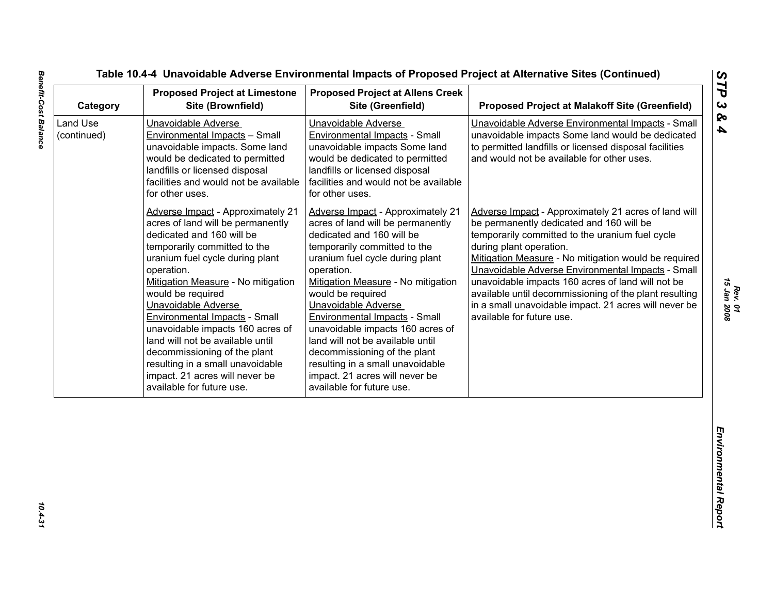| Category                | <b>Proposed Project at Limestone</b><br>Site (Brownfield)                                                                                                                                                                                                                                                                                                                                                                                                                                                                        | <b>Proposed Project at Allens Creek</b><br>Site (Greenfield)                                                                                                                                                                                                                                                                                                                                                                                                                                                                     | <b>Proposed Project at Malakoff Site (Greenfield)</b>                                                                                                                                                                                                                                                                                                                                                                                                                                            |
|-------------------------|----------------------------------------------------------------------------------------------------------------------------------------------------------------------------------------------------------------------------------------------------------------------------------------------------------------------------------------------------------------------------------------------------------------------------------------------------------------------------------------------------------------------------------|----------------------------------------------------------------------------------------------------------------------------------------------------------------------------------------------------------------------------------------------------------------------------------------------------------------------------------------------------------------------------------------------------------------------------------------------------------------------------------------------------------------------------------|--------------------------------------------------------------------------------------------------------------------------------------------------------------------------------------------------------------------------------------------------------------------------------------------------------------------------------------------------------------------------------------------------------------------------------------------------------------------------------------------------|
| Land Use<br>(continued) | Unavoidable Adverse<br>Environmental Impacts - Small<br>unavoidable impacts. Some land<br>would be dedicated to permitted<br>landfills or licensed disposal<br>facilities and would not be available<br>for other uses.                                                                                                                                                                                                                                                                                                          | Unavoidable Adverse<br>Environmental Impacts - Small<br>unavoidable impacts Some land<br>would be dedicated to permitted<br>landfills or licensed disposal<br>facilities and would not be available<br>for other uses.                                                                                                                                                                                                                                                                                                           | Unavoidable Adverse Environmental Impacts - Small<br>unavoidable impacts Some land would be dedicated<br>to permitted landfills or licensed disposal facilities<br>and would not be available for other uses.                                                                                                                                                                                                                                                                                    |
|                         | <b>Adverse Impact - Approximately 21</b><br>acres of land will be permanently<br>dedicated and 160 will be<br>temporarily committed to the<br>uranium fuel cycle during plant<br>operation.<br>Mitigation Measure - No mitigation<br>would be required<br>Unavoidable Adverse<br><b>Environmental Impacts - Small</b><br>unavoidable impacts 160 acres of<br>land will not be available until<br>decommissioning of the plant<br>resulting in a small unavoidable<br>impact. 21 acres will never be<br>available for future use. | <b>Adverse Impact - Approximately 21</b><br>acres of land will be permanently<br>dedicated and 160 will be<br>temporarily committed to the<br>uranium fuel cycle during plant<br>operation.<br>Mitigation Measure - No mitigation<br>would be required<br>Unavoidable Adverse<br><b>Environmental Impacts - Small</b><br>unavoidable impacts 160 acres of<br>land will not be available until<br>decommissioning of the plant<br>resulting in a small unavoidable<br>impact. 21 acres will never be<br>available for future use. | Adverse Impact - Approximately 21 acres of land will<br>be permanently dedicated and 160 will be<br>temporarily committed to the uranium fuel cycle<br>during plant operation.<br>Mitigation Measure - No mitigation would be required<br>Unavoidable Adverse Environmental Impacts - Small<br>unavoidable impacts 160 acres of land will not be<br>available until decommissioning of the plant resulting<br>in a small unavoidable impact. 21 acres will never be<br>available for future use. |
|                         |                                                                                                                                                                                                                                                                                                                                                                                                                                                                                                                                  |                                                                                                                                                                                                                                                                                                                                                                                                                                                                                                                                  |                                                                                                                                                                                                                                                                                                                                                                                                                                                                                                  |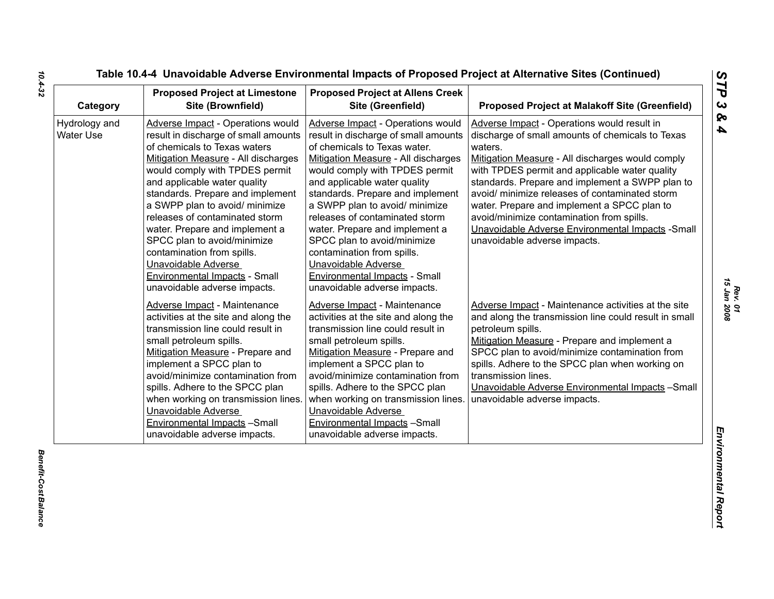| Category                          | <b>Proposed Project at Limestone</b><br>Site (Brownfield)                                                                                                                                                                                                                                                                                                                                                                                                                                                                | <b>Proposed Project at Allens Creek</b><br>Site (Greenfield)                                                                                                                                                                                                                                                                                                                                                                                                                                                             | <b>Proposed Project at Malakoff Site (Greenfield)</b>                                                                                                                                                                                                                                                                                                                                                                                                                                                  |
|-----------------------------------|--------------------------------------------------------------------------------------------------------------------------------------------------------------------------------------------------------------------------------------------------------------------------------------------------------------------------------------------------------------------------------------------------------------------------------------------------------------------------------------------------------------------------|--------------------------------------------------------------------------------------------------------------------------------------------------------------------------------------------------------------------------------------------------------------------------------------------------------------------------------------------------------------------------------------------------------------------------------------------------------------------------------------------------------------------------|--------------------------------------------------------------------------------------------------------------------------------------------------------------------------------------------------------------------------------------------------------------------------------------------------------------------------------------------------------------------------------------------------------------------------------------------------------------------------------------------------------|
| Hydrology and<br><b>Water Use</b> | <b>Adverse Impact - Operations would</b><br>result in discharge of small amounts<br>of chemicals to Texas waters<br>Mitigation Measure - All discharges<br>would comply with TPDES permit<br>and applicable water quality<br>standards. Prepare and implement<br>a SWPP plan to avoid/ minimize<br>releases of contaminated storm<br>water. Prepare and implement a<br>SPCC plan to avoid/minimize<br>contamination from spills.<br>Unavoidable Adverse<br>Environmental Impacts - Small<br>unavoidable adverse impacts. | <b>Adverse Impact - Operations would</b><br>result in discharge of small amounts<br>of chemicals to Texas water.<br>Mitigation Measure - All discharges<br>would comply with TPDES permit<br>and applicable water quality<br>standards. Prepare and implement<br>a SWPP plan to avoid/ minimize<br>releases of contaminated storm<br>water. Prepare and implement a<br>SPCC plan to avoid/minimize<br>contamination from spills.<br>Unavoidable Adverse<br>Environmental Impacts - Small<br>unavoidable adverse impacts. | Adverse Impact - Operations would result in<br>discharge of small amounts of chemicals to Texas<br>waters.<br>Mitigation Measure - All discharges would comply<br>with TPDES permit and applicable water quality<br>standards. Prepare and implement a SWPP plan to<br>avoid/ minimize releases of contaminated storm<br>water. Prepare and implement a SPCC plan to<br>avoid/minimize contamination from spills.<br>Unavoidable Adverse Environmental Impacts - Small<br>unavoidable adverse impacts. |
|                                   | <b>Adverse Impact - Maintenance</b><br>activities at the site and along the<br>transmission line could result in<br>small petroleum spills.<br>Mitigation Measure - Prepare and<br>implement a SPCC plan to<br>avoid/minimize contamination from<br>spills. Adhere to the SPCC plan<br>when working on transmission lines.<br>Unavoidable Adverse<br>Environmental Impacts - Small<br>unavoidable adverse impacts.                                                                                                       | <b>Adverse Impact - Maintenance</b><br>activities at the site and along the<br>transmission line could result in<br>small petroleum spills.<br>Mitigation Measure - Prepare and<br>implement a SPCC plan to<br>avoid/minimize contamination from<br>spills. Adhere to the SPCC plan<br>when working on transmission lines.<br>Unavoidable Adverse<br>Environmental Impacts -Small<br>unavoidable adverse impacts.                                                                                                        | Adverse Impact - Maintenance activities at the site<br>and along the transmission line could result in small<br>petroleum spills.<br>Mitigation Measure - Prepare and implement a<br>SPCC plan to avoid/minimize contamination from<br>spills. Adhere to the SPCC plan when working on<br>transmission lines.<br>Unavoidable Adverse Environmental Impacts - Small<br>unavoidable adverse impacts.                                                                                                     |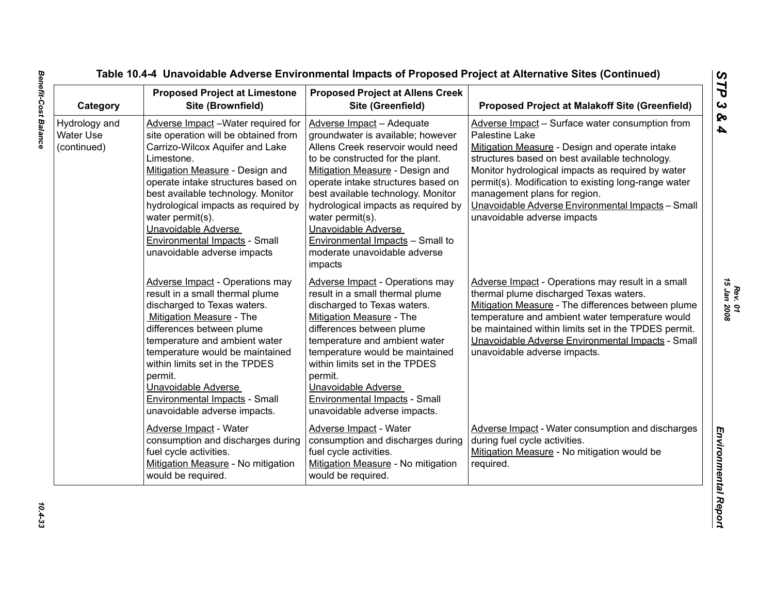| Category                                  | <b>Proposed Project at Limestone</b><br>Site (Brownfield)                                                                                                                                                                                                                                                                                                                                            | <b>Proposed Project at Allens Creek</b><br>Site (Greenfield)                                                                                                                                                                                                                                                                                                                                                                   | <b>Proposed Project at Malakoff Site (Greenfield)</b>                                                                                                                                                                                                                                                                                                                                                  |
|-------------------------------------------|------------------------------------------------------------------------------------------------------------------------------------------------------------------------------------------------------------------------------------------------------------------------------------------------------------------------------------------------------------------------------------------------------|--------------------------------------------------------------------------------------------------------------------------------------------------------------------------------------------------------------------------------------------------------------------------------------------------------------------------------------------------------------------------------------------------------------------------------|--------------------------------------------------------------------------------------------------------------------------------------------------------------------------------------------------------------------------------------------------------------------------------------------------------------------------------------------------------------------------------------------------------|
| Hydrology and<br>Water Use<br>(continued) | Adverse Impact - Water required for<br>site operation will be obtained from<br>Carrizo-Wilcox Aquifer and Lake<br>Limestone.<br>Mitigation Measure - Design and<br>operate intake structures based on<br>best available technology. Monitor<br>hydrological impacts as required by<br>water permit(s).<br>Unavoidable Adverse<br><b>Environmental Impacts - Small</b><br>unavoidable adverse impacts | Adverse Impact - Adequate<br>groundwater is available; however<br>Allens Creek reservoir would need<br>to be constructed for the plant.<br>Mitigation Measure - Design and<br>operate intake structures based on<br>best available technology. Monitor<br>hydrological impacts as required by<br>water permit(s).<br>Unavoidable Adverse<br><b>Environmental Impacts - Small to</b><br>moderate unavoidable adverse<br>impacts | Adverse Impact - Surface water consumption from<br>Palestine Lake<br>Mitigation Measure - Design and operate intake<br>structures based on best available technology.<br>Monitor hydrological impacts as required by water<br>permit(s). Modification to existing long-range water<br>management plans for region.<br>Unavoidable Adverse Environmental Impacts - Small<br>unavoidable adverse impacts |
|                                           | <b>Adverse Impact</b> - Operations may<br>result in a small thermal plume<br>discharged to Texas waters.<br>Mitigation Measure - The<br>differences between plume<br>temperature and ambient water<br>temperature would be maintained<br>within limits set in the TPDES<br>permit.<br>Unavoidable Adverse<br><b>Environmental Impacts - Small</b><br>unavoidable adverse impacts.                    | Adverse Impact - Operations may<br>result in a small thermal plume<br>discharged to Texas waters.<br>Mitigation Measure - The<br>differences between plume<br>temperature and ambient water<br>temperature would be maintained<br>within limits set in the TPDES<br>permit.<br>Unavoidable Adverse<br><b>Environmental Impacts - Small</b><br>unavoidable adverse impacts.                                                     | Adverse Impact - Operations may result in a small<br>thermal plume discharged Texas waters.<br>Mitigation Measure - The differences between plume<br>temperature and ambient water temperature would<br>be maintained within limits set in the TPDES permit.<br>Unavoidable Adverse Environmental Impacts - Small<br>unavoidable adverse impacts.                                                      |
|                                           | Adverse Impact - Water<br>consumption and discharges during<br>fuel cycle activities.<br>Mitigation Measure - No mitigation<br>would be required.                                                                                                                                                                                                                                                    | Adverse Impact - Water<br>consumption and discharges during<br>fuel cycle activities.<br>Mitigation Measure - No mitigation<br>would be required.                                                                                                                                                                                                                                                                              | Adverse Impact - Water consumption and discharges<br>during fuel cycle activities.<br>Mitigation Measure - No mitigation would be<br>required.                                                                                                                                                                                                                                                         |

 $10.4 - 33$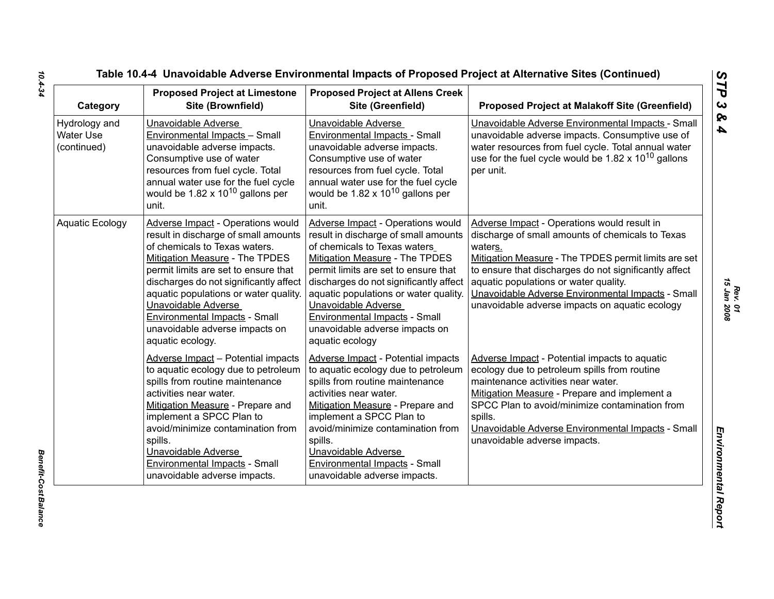| Category                                         | <b>Proposed Project at Limestone</b><br>Site (Brownfield)                                                                                                                                                                                                                                                                                                                                           | <b>Proposed Project at Allens Creek</b><br>Site (Greenfield)                                                                                                                                                                                                                                                                                                                                      | <b>Proposed Project at Malakoff Site (Greenfield)</b>                                                                                                                                                                                                                                                                                                                       |
|--------------------------------------------------|-----------------------------------------------------------------------------------------------------------------------------------------------------------------------------------------------------------------------------------------------------------------------------------------------------------------------------------------------------------------------------------------------------|---------------------------------------------------------------------------------------------------------------------------------------------------------------------------------------------------------------------------------------------------------------------------------------------------------------------------------------------------------------------------------------------------|-----------------------------------------------------------------------------------------------------------------------------------------------------------------------------------------------------------------------------------------------------------------------------------------------------------------------------------------------------------------------------|
| Hydrology and<br><b>Water Use</b><br>(continued) | Unavoidable Adverse<br>Environmental Impacts - Small<br>unavoidable adverse impacts.<br>Consumptive use of water<br>resources from fuel cycle. Total<br>annual water use for the fuel cycle<br>would be $1.82 \times 10^{10}$ gallons per<br>unit.                                                                                                                                                  | Unavoidable Adverse<br>Environmental Impacts - Small<br>unavoidable adverse impacts.<br>Consumptive use of water<br>resources from fuel cycle. Total<br>annual water use for the fuel cycle<br>would be $1.82 \times 10^{10}$ gallons per<br>unit.                                                                                                                                                | Unavoidable Adverse Environmental Impacts - Small<br>unavoidable adverse impacts. Consumptive use of<br>water resources from fuel cycle. Total annual water<br>use for the fuel cycle would be $1.82 \times 10^{10}$ gallons<br>per unit.                                                                                                                                   |
| <b>Aquatic Ecology</b>                           | Adverse Impact - Operations would<br>result in discharge of small amounts<br>of chemicals to Texas waters.<br><b>Mitigation Measure - The TPDES</b><br>permit limits are set to ensure that<br>discharges do not significantly affect<br>aquatic populations or water quality.<br>Unavoidable Adverse<br><b>Environmental Impacts - Small</b><br>unavoidable adverse impacts on<br>aquatic ecology. | Adverse Impact - Operations would<br>result in discharge of small amounts<br>of chemicals to Texas waters<br><b>Mitigation Measure - The TPDES</b><br>permit limits are set to ensure that<br>discharges do not significantly affect<br>aquatic populations or water quality.<br><b>Unavoidable Adverse</b><br>Environmental Impacts - Small<br>unavoidable adverse impacts on<br>aquatic ecology | Adverse Impact - Operations would result in<br>discharge of small amounts of chemicals to Texas<br>waters.<br>Mitigation Measure - The TPDES permit limits are set<br>to ensure that discharges do not significantly affect<br>aquatic populations or water quality.<br>Unavoidable Adverse Environmental Impacts - Small<br>unavoidable adverse impacts on aquatic ecology |
|                                                  | Adverse Impact - Potential impacts<br>to aquatic ecology due to petroleum<br>spills from routine maintenance<br>activities near water.<br>Mitigation Measure - Prepare and<br>implement a SPCC Plan to<br>avoid/minimize contamination from<br>spills.<br>Unavoidable Adverse<br>Environmental Impacts - Small<br>unavoidable adverse impacts.                                                      | Adverse Impact - Potential impacts<br>to aquatic ecology due to petroleum<br>spills from routine maintenance<br>activities near water.<br>Mitigation Measure - Prepare and<br>implement a SPCC Plan to<br>avoid/minimize contamination from<br>spills.<br>Unavoidable Adverse<br>Environmental Impacts - Small<br>unavoidable adverse impacts.                                                    | Adverse Impact - Potential impacts to aquatic<br>ecology due to petroleum spills from routine<br>maintenance activities near water.<br>Mitigation Measure - Prepare and implement a<br>SPCC Plan to avoid/minimize contamination from<br>spills.<br>Unavoidable Adverse Environmental Impacts - Small<br>unavoidable adverse impacts.                                       |

*Benefit-Cost Balance* 

Benefit-Cost Balance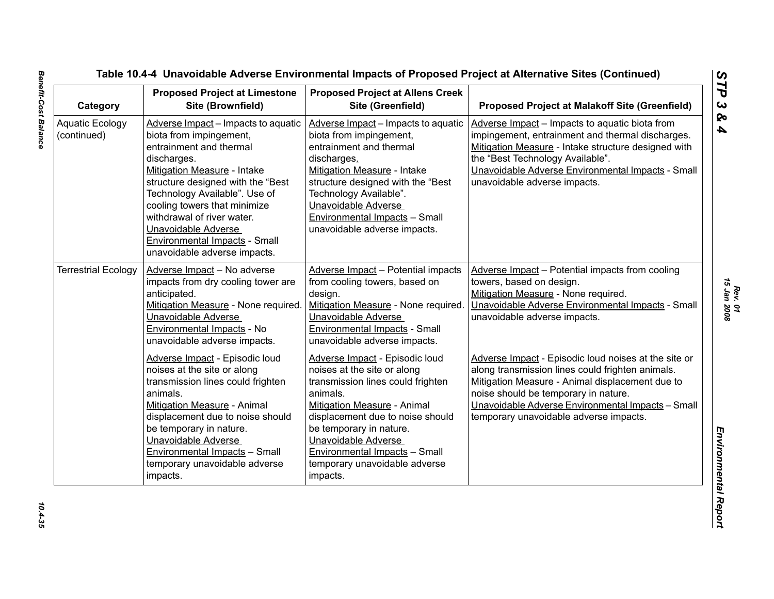| Category                              | <b>Proposed Project at Limestone</b><br>Site (Brownfield)                                                                                                                                                                                                                                                                                                                  | <b>Proposed Project at Allens Creek</b><br>Site (Greenfield)                                                                                                                                                                                                                                                             | <b>Proposed Project at Malakoff Site (Greenfield)</b>                                                                                                                                                                                                                                              |
|---------------------------------------|----------------------------------------------------------------------------------------------------------------------------------------------------------------------------------------------------------------------------------------------------------------------------------------------------------------------------------------------------------------------------|--------------------------------------------------------------------------------------------------------------------------------------------------------------------------------------------------------------------------------------------------------------------------------------------------------------------------|----------------------------------------------------------------------------------------------------------------------------------------------------------------------------------------------------------------------------------------------------------------------------------------------------|
| <b>Aquatic Ecology</b><br>(continued) | Adverse Impact - Impacts to aquatic<br>biota from impingement,<br>entrainment and thermal<br>discharges.<br>Mitigation Measure - Intake<br>structure designed with the "Best<br>Technology Available". Use of<br>cooling towers that minimize<br>withdrawal of river water.<br>Unavoidable Adverse<br><b>Environmental Impacts - Small</b><br>unavoidable adverse impacts. | Adverse Impact - Impacts to aquatic<br>biota from impingement,<br>entrainment and thermal<br>discharges.<br>Mitigation Measure - Intake<br>structure designed with the "Best<br>Technology Available".<br>Unavoidable Adverse<br><b>Environmental Impacts - Small</b><br>unavoidable adverse impacts.                    | Adverse Impact - Impacts to aquatic biota from<br>impingement, entrainment and thermal discharges.<br>Mitigation Measure - Intake structure designed with<br>the "Best Technology Available".<br>Unavoidable Adverse Environmental Impacts - Small<br>unavoidable adverse impacts.                 |
| <b>Terrestrial Ecology</b>            | Adverse Impact - No adverse<br>impacts from dry cooling tower are<br>anticipated.<br>Mitigation Measure - None required.<br>Unavoidable Adverse<br>Environmental Impacts - No<br>unavoidable adverse impacts.                                                                                                                                                              | Adverse Impact - Potential impacts<br>from cooling towers, based on<br>design.<br>Mitigation Measure - None required.<br>Unavoidable Adverse<br>Environmental Impacts - Small<br>unavoidable adverse impacts.                                                                                                            | Adverse Impact - Potential impacts from cooling<br>towers, based on design.<br>Mitigation Measure - None required.<br>Unavoidable Adverse Environmental Impacts - Small<br>unavoidable adverse impacts.                                                                                            |
|                                       | Adverse Impact - Episodic loud<br>noises at the site or along<br>transmission lines could frighten<br>animals.<br>Mitigation Measure - Animal<br>displacement due to noise should<br>be temporary in nature.<br>Unavoidable Adverse<br><b>Environmental Impacts - Small</b><br>temporary unavoidable adverse<br>impacts.                                                   | Adverse Impact - Episodic loud<br>noises at the site or along<br>transmission lines could frighten<br>animals.<br>Mitigation Measure - Animal<br>displacement due to noise should<br>be temporary in nature.<br>Unavoidable Adverse<br><b>Environmental Impacts - Small</b><br>temporary unavoidable adverse<br>impacts. | Adverse Impact - Episodic loud noises at the site or<br>along transmission lines could frighten animals.<br>Mitigation Measure - Animal displacement due to<br>noise should be temporary in nature.<br>Unavoidable Adverse Environmental Impacts - Small<br>temporary unavoidable adverse impacts. |

10.4-35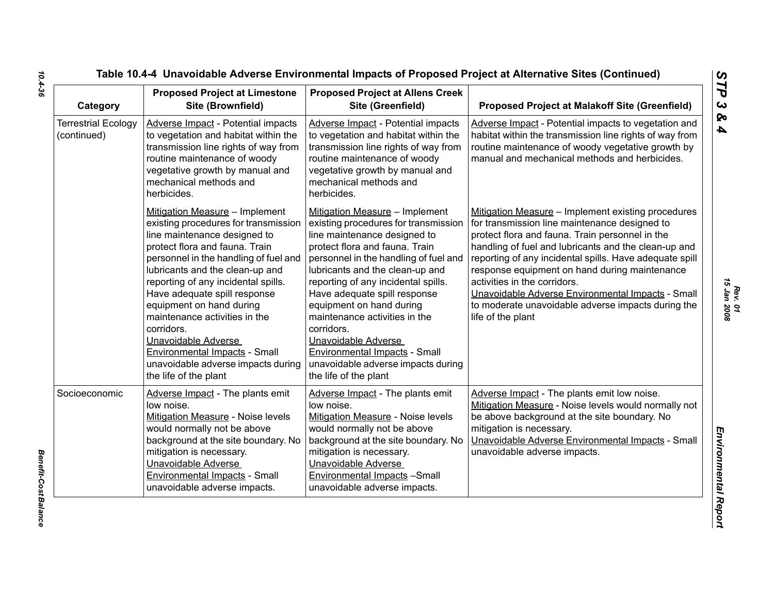| Category                                  | <b>Proposed Project at Limestone</b><br>Site (Brownfield)                                                                                                                                                                                                                                                                                                                                                                                                                                            | <b>Proposed Project at Allens Creek</b><br>Site (Greenfield)                                                                                                                                                                                                                                                                                                                                                                                                                                         | <b>Proposed Project at Malakoff Site (Greenfield)</b>                                                                                                                                                                                                                                                                                                                                                                                                                                      |
|-------------------------------------------|------------------------------------------------------------------------------------------------------------------------------------------------------------------------------------------------------------------------------------------------------------------------------------------------------------------------------------------------------------------------------------------------------------------------------------------------------------------------------------------------------|------------------------------------------------------------------------------------------------------------------------------------------------------------------------------------------------------------------------------------------------------------------------------------------------------------------------------------------------------------------------------------------------------------------------------------------------------------------------------------------------------|--------------------------------------------------------------------------------------------------------------------------------------------------------------------------------------------------------------------------------------------------------------------------------------------------------------------------------------------------------------------------------------------------------------------------------------------------------------------------------------------|
| <b>Terrestrial Ecology</b><br>(continued) | Adverse Impact - Potential impacts<br>to vegetation and habitat within the<br>transmission line rights of way from<br>routine maintenance of woody<br>vegetative growth by manual and<br>mechanical methods and<br>herbicides.                                                                                                                                                                                                                                                                       | <b>Adverse Impact - Potential impacts</b><br>to vegetation and habitat within the<br>transmission line rights of way from<br>routine maintenance of woody<br>vegetative growth by manual and<br>mechanical methods and<br>herbicides.                                                                                                                                                                                                                                                                | Adverse Impact - Potential impacts to vegetation and<br>habitat within the transmission line rights of way from<br>routine maintenance of woody vegetative growth by<br>manual and mechanical methods and herbicides.                                                                                                                                                                                                                                                                      |
|                                           | Mitigation Measure - Implement<br>existing procedures for transmission<br>line maintenance designed to<br>protect flora and fauna. Train<br>personnel in the handling of fuel and<br>lubricants and the clean-up and<br>reporting of any incidental spills.<br>Have adequate spill response<br>equipment on hand during<br>maintenance activities in the<br>corridors.<br>Unavoidable Adverse<br><b>Environmental Impacts - Small</b><br>unavoidable adverse impacts during<br>the life of the plant | Mitigation Measure - Implement<br>existing procedures for transmission<br>line maintenance designed to<br>protect flora and fauna. Train<br>personnel in the handling of fuel and<br>lubricants and the clean-up and<br>reporting of any incidental spills.<br>Have adequate spill response<br>equipment on hand during<br>maintenance activities in the<br>corridors.<br>Unavoidable Adverse<br><b>Environmental Impacts - Small</b><br>unavoidable adverse impacts during<br>the life of the plant | Mitigation Measure - Implement existing procedures<br>for transmission line maintenance designed to<br>protect flora and fauna. Train personnel in the<br>handling of fuel and lubricants and the clean-up and<br>reporting of any incidental spills. Have adequate spill<br>response equipment on hand during maintenance<br>activities in the corridors.<br>Unavoidable Adverse Environmental Impacts - Small<br>to moderate unavoidable adverse impacts during the<br>life of the plant |
| Socioeconomic                             | Adverse Impact - The plants emit<br>low noise.<br><b>Mitigation Measure - Noise levels</b><br>would normally not be above<br>background at the site boundary. No<br>mitigation is necessary.<br>Unavoidable Adverse<br>Environmental Impacts - Small<br>unavoidable adverse impacts.                                                                                                                                                                                                                 | Adverse Impact - The plants emit<br>low noise.<br><b>Mitigation Measure - Noise levels</b><br>would normally not be above<br>background at the site boundary. No<br>mitigation is necessary.<br>Unavoidable Adverse<br>Environmental Impacts -Small<br>unavoidable adverse impacts.                                                                                                                                                                                                                  | Adverse Impact - The plants emit low noise.<br>Mitigation Measure - Noise levels would normally not<br>be above background at the site boundary. No<br>mitigation is necessary.<br>Unavoidable Adverse Environmental Impacts - Small<br>unavoidable adverse impacts.                                                                                                                                                                                                                       |

*Rev. 01*<br>15 Jan 2008 *15 Jan 2008*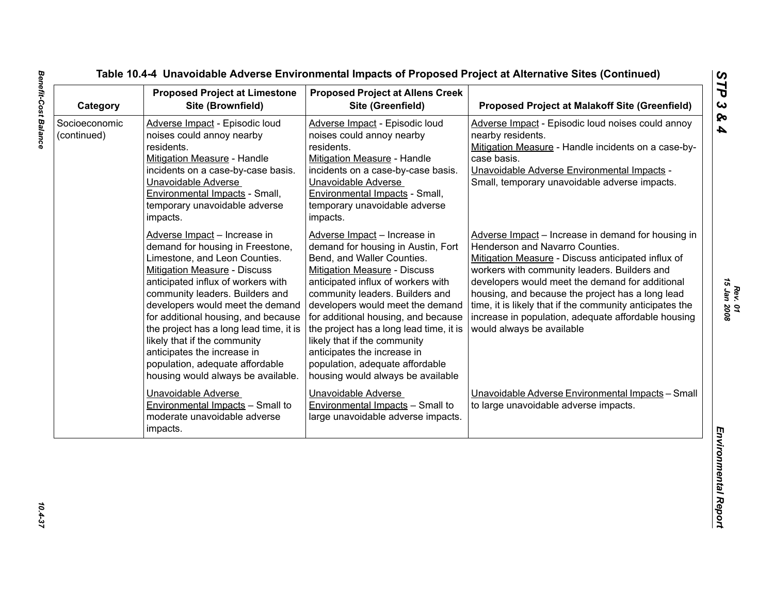| Category                     | <b>Proposed Project at Limestone</b><br>Site (Brownfield)                                                                                                                                                                                                                                                                                                                                                                                                                       | <b>Proposed Project at Allens Creek</b><br>Site (Greenfield)                                                                                                                                                                                                                                                                                                                                                                                                                  | <b>Proposed Project at Malakoff Site (Greenfield)</b>                                                                                                                                                                                                                                                                                                                                                                                              |
|------------------------------|---------------------------------------------------------------------------------------------------------------------------------------------------------------------------------------------------------------------------------------------------------------------------------------------------------------------------------------------------------------------------------------------------------------------------------------------------------------------------------|-------------------------------------------------------------------------------------------------------------------------------------------------------------------------------------------------------------------------------------------------------------------------------------------------------------------------------------------------------------------------------------------------------------------------------------------------------------------------------|----------------------------------------------------------------------------------------------------------------------------------------------------------------------------------------------------------------------------------------------------------------------------------------------------------------------------------------------------------------------------------------------------------------------------------------------------|
| Socioeconomic<br>(continued) | Adverse Impact - Episodic loud<br>noises could annoy nearby<br>residents.<br><b>Mitigation Measure - Handle</b><br>incidents on a case-by-case basis.<br>Unavoidable Adverse<br>Environmental Impacts - Small,<br>temporary unavoidable adverse<br>impacts.                                                                                                                                                                                                                     | Adverse Impact - Episodic loud<br>noises could annoy nearby<br>residents.<br><b>Mitigation Measure - Handle</b><br>incidents on a case-by-case basis.<br>Unavoidable Adverse<br>Environmental Impacts - Small,<br>temporary unavoidable adverse<br>impacts.                                                                                                                                                                                                                   | Adverse Impact - Episodic loud noises could annoy<br>nearby residents.<br>Mitigation Measure - Handle incidents on a case-by-<br>case basis.<br>Unavoidable Adverse Environmental Impacts -<br>Small, temporary unavoidable adverse impacts.                                                                                                                                                                                                       |
|                              | Adverse Impact - Increase in<br>demand for housing in Freestone,<br>Limestone, and Leon Counties.<br><b>Mitigation Measure - Discuss</b><br>anticipated influx of workers with<br>community leaders. Builders and<br>developers would meet the demand<br>for additional housing, and because<br>the project has a long lead time, it is<br>likely that if the community<br>anticipates the increase in<br>population, adequate affordable<br>housing would always be available. | Adverse Impact - Increase in<br>demand for housing in Austin, Fort<br>Bend, and Waller Counties.<br><b>Mitigation Measure - Discuss</b><br>anticipated influx of workers with<br>community leaders. Builders and<br>developers would meet the demand<br>for additional housing, and because<br>the project has a long lead time, it is<br>likely that if the community<br>anticipates the increase in<br>population, adequate affordable<br>housing would always be available | Adverse Impact - Increase in demand for housing in<br>Henderson and Navarro Counties.<br>Mitigation Measure - Discuss anticipated influx of<br>workers with community leaders. Builders and<br>developers would meet the demand for additional<br>housing, and because the project has a long lead<br>time, it is likely that if the community anticipates the<br>increase in population, adequate affordable housing<br>would always be available |
|                              | Unavoidable Adverse<br><b>Environmental Impacts - Small to</b><br>moderate unavoidable adverse<br>impacts.                                                                                                                                                                                                                                                                                                                                                                      | Unavoidable Adverse<br><b>Environmental Impacts - Small to</b><br>large unavoidable adverse impacts.                                                                                                                                                                                                                                                                                                                                                                          | Unavoidable Adverse Environmental Impacts - Small<br>to large unavoidable adverse impacts.                                                                                                                                                                                                                                                                                                                                                         |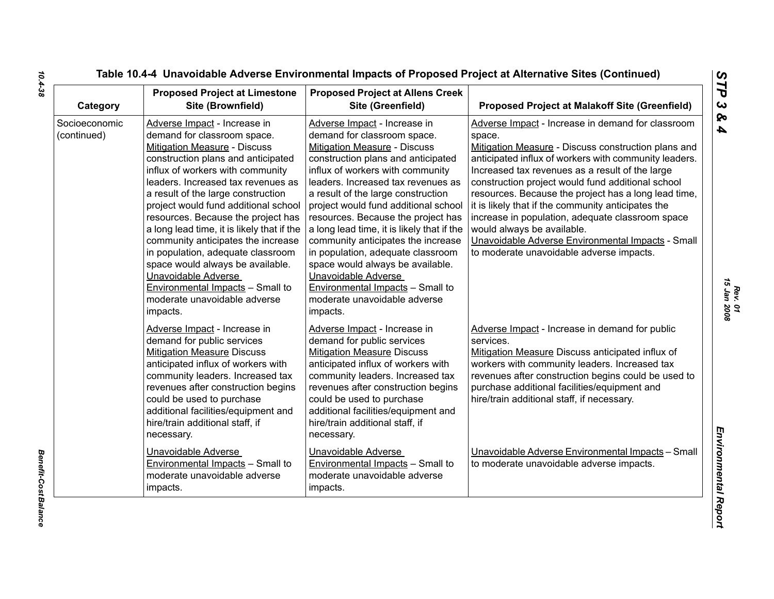| Category                     | <b>Proposed Project at Limestone</b><br>Site (Brownfield)                                                                                                                                                                                                                                                                                                                                                                                                                                                                                                                                                  | <b>Proposed Project at Allens Creek</b><br>Site (Greenfield)                                                                                                                                                                                                                                                                                                                                                                                                                                                                                                                                               | <b>Proposed Project at Malakoff Site (Greenfield)</b>                                                                                                                                                                                                                                                                                                                                                                                                                                                                                                                                |
|------------------------------|------------------------------------------------------------------------------------------------------------------------------------------------------------------------------------------------------------------------------------------------------------------------------------------------------------------------------------------------------------------------------------------------------------------------------------------------------------------------------------------------------------------------------------------------------------------------------------------------------------|------------------------------------------------------------------------------------------------------------------------------------------------------------------------------------------------------------------------------------------------------------------------------------------------------------------------------------------------------------------------------------------------------------------------------------------------------------------------------------------------------------------------------------------------------------------------------------------------------------|--------------------------------------------------------------------------------------------------------------------------------------------------------------------------------------------------------------------------------------------------------------------------------------------------------------------------------------------------------------------------------------------------------------------------------------------------------------------------------------------------------------------------------------------------------------------------------------|
| Socioeconomic<br>(continued) | Adverse Impact - Increase in<br>demand for classroom space.<br>Mitigation Measure - Discuss<br>construction plans and anticipated<br>influx of workers with community<br>leaders. Increased tax revenues as<br>a result of the large construction<br>project would fund additional school<br>resources. Because the project has<br>a long lead time, it is likely that if the<br>community anticipates the increase<br>in population, adequate classroom<br>space would always be available.<br>Unavoidable Adverse<br><b>Environmental Impacts - Small to</b><br>moderate unavoidable adverse<br>impacts. | Adverse Impact - Increase in<br>demand for classroom space.<br>Mitigation Measure - Discuss<br>construction plans and anticipated<br>influx of workers with community<br>leaders. Increased tax revenues as<br>a result of the large construction<br>project would fund additional school<br>resources. Because the project has<br>a long lead time, it is likely that if the<br>community anticipates the increase<br>in population, adequate classroom<br>space would always be available.<br>Unavoidable Adverse<br><b>Environmental Impacts - Small to</b><br>moderate unavoidable adverse<br>impacts. | Adverse Impact - Increase in demand for classroom<br>space.<br>Mitigation Measure - Discuss construction plans and<br>anticipated influx of workers with community leaders.<br>Increased tax revenues as a result of the large<br>construction project would fund additional school<br>resources. Because the project has a long lead time,<br>it is likely that if the community anticipates the<br>increase in population, adequate classroom space<br>would always be available.<br>Unavoidable Adverse Environmental Impacts - Small<br>to moderate unavoidable adverse impacts. |
|                              | Adverse Impact - Increase in<br>demand for public services<br><b>Mitigation Measure Discuss</b><br>anticipated influx of workers with<br>community leaders. Increased tax<br>revenues after construction begins<br>could be used to purchase<br>additional facilities/equipment and<br>hire/train additional staff, if<br>necessary.                                                                                                                                                                                                                                                                       | Adverse Impact - Increase in<br>demand for public services<br><b>Mitigation Measure Discuss</b><br>anticipated influx of workers with<br>community leaders. Increased tax<br>revenues after construction begins<br>could be used to purchase<br>additional facilities/equipment and<br>hire/train additional staff, if<br>necessary.                                                                                                                                                                                                                                                                       | Adverse Impact - Increase in demand for public<br>services.<br>Mitigation Measure Discuss anticipated influx of<br>workers with community leaders. Increased tax<br>revenues after construction begins could be used to<br>purchase additional facilities/equipment and<br>hire/train additional staff, if necessary.                                                                                                                                                                                                                                                                |
|                              | Unavoidable Adverse<br><b>Environmental Impacts - Small to</b><br>moderate unavoidable adverse<br>impacts.                                                                                                                                                                                                                                                                                                                                                                                                                                                                                                 | Unavoidable Adverse<br><b>Environmental Impacts - Small to</b><br>moderate unavoidable adverse<br>impacts.                                                                                                                                                                                                                                                                                                                                                                                                                                                                                                 | Unavoidable Adverse Environmental Impacts - Small<br>to moderate unavoidable adverse impacts.                                                                                                                                                                                                                                                                                                                                                                                                                                                                                        |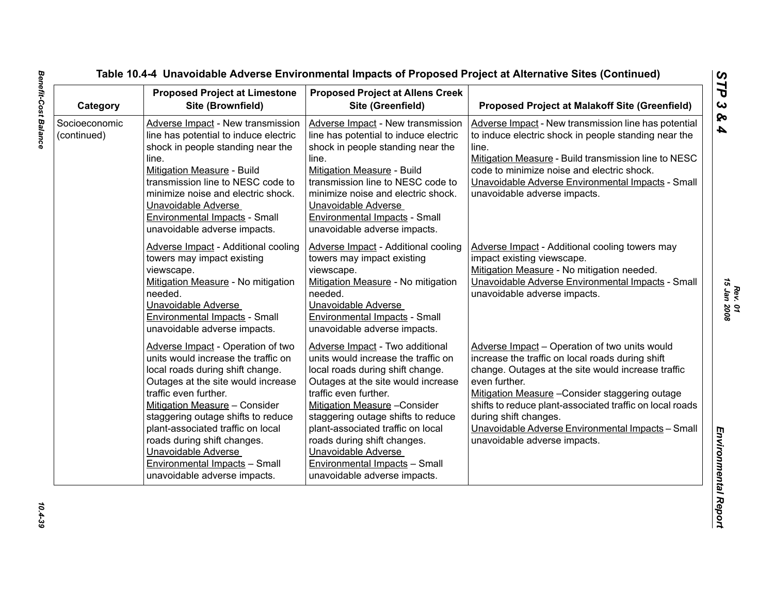| Category                     | <b>Proposed Project at Limestone</b><br>Site (Brownfield)                                                                                                                                                                                                                                                                                                                                                             | <b>Proposed Project at Allens Creek</b><br>Site (Greenfield)                                                                                                                                                                                                                                                                                                                                                 | <b>Proposed Project at Malakoff Site (Greenfield)</b>                                                                                                                                                                                                                                                                                                                                                 |
|------------------------------|-----------------------------------------------------------------------------------------------------------------------------------------------------------------------------------------------------------------------------------------------------------------------------------------------------------------------------------------------------------------------------------------------------------------------|--------------------------------------------------------------------------------------------------------------------------------------------------------------------------------------------------------------------------------------------------------------------------------------------------------------------------------------------------------------------------------------------------------------|-------------------------------------------------------------------------------------------------------------------------------------------------------------------------------------------------------------------------------------------------------------------------------------------------------------------------------------------------------------------------------------------------------|
| Socioeconomic<br>(continued) | Adverse Impact - New transmission<br>line has potential to induce electric<br>shock in people standing near the<br>line.<br>Mitigation Measure - Build<br>transmission line to NESC code to<br>minimize noise and electric shock.<br>Unavoidable Adverse<br><b>Environmental Impacts - Small</b><br>unavoidable adverse impacts.                                                                                      | Adverse Impact - New transmission<br>line has potential to induce electric<br>shock in people standing near the<br>line.<br>Mitigation Measure - Build<br>transmission line to NESC code to<br>minimize noise and electric shock.<br>Unavoidable Adverse<br><b>Environmental Impacts - Small</b><br>unavoidable adverse impacts.                                                                             | Adverse Impact - New transmission line has potential<br>to induce electric shock in people standing near the<br>line.<br>Mitigation Measure - Build transmission line to NESC<br>code to minimize noise and electric shock.<br>Unavoidable Adverse Environmental Impacts - Small<br>unavoidable adverse impacts.                                                                                      |
|                              | Adverse Impact - Additional cooling<br>towers may impact existing<br>viewscape.<br>Mitigation Measure - No mitigation<br>needed.<br>Unavoidable Adverse<br><b>Environmental Impacts - Small</b><br>unavoidable adverse impacts.                                                                                                                                                                                       | Adverse Impact - Additional cooling<br>towers may impact existing<br>viewscape.<br>Mitigation Measure - No mitigation<br>needed.<br>Unavoidable Adverse<br>Environmental Impacts - Small<br>unavoidable adverse impacts.                                                                                                                                                                                     | Adverse Impact - Additional cooling towers may<br>impact existing viewscape.<br>Mitigation Measure - No mitigation needed.<br>Unavoidable Adverse Environmental Impacts - Small<br>unavoidable adverse impacts.                                                                                                                                                                                       |
|                              | Adverse Impact - Operation of two<br>units would increase the traffic on<br>local roads during shift change.<br>Outages at the site would increase<br>traffic even further.<br>Mitigation Measure - Consider<br>staggering outage shifts to reduce<br>plant-associated traffic on local<br>roads during shift changes.<br>Unavoidable Adverse<br><b>Environmental Impacts - Small</b><br>unavoidable adverse impacts. | Adverse Impact - Two additional<br>units would increase the traffic on<br>local roads during shift change.<br>Outages at the site would increase<br>traffic even further.<br>Mitigation Measure - Consider<br>staggering outage shifts to reduce<br>plant-associated traffic on local<br>roads during shift changes.<br>Unavoidable Adverse<br>Environmental Impacts - Small<br>unavoidable adverse impacts. | Adverse Impact - Operation of two units would<br>increase the traffic on local roads during shift<br>change. Outages at the site would increase traffic<br>even further.<br>Mitigation Measure - Consider staggering outage<br>shifts to reduce plant-associated traffic on local roads<br>during shift changes.<br>Unavoidable Adverse Environmental Impacts - Small<br>unavoidable adverse impacts. |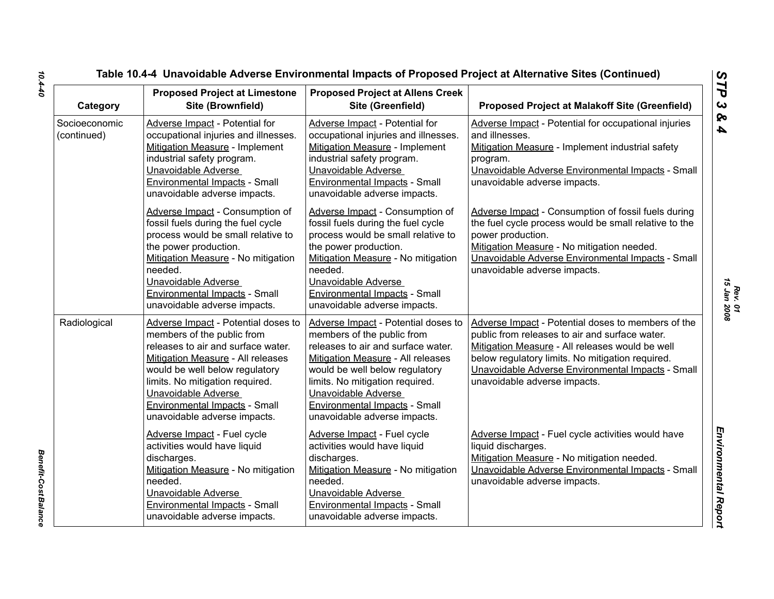| Category                     | <b>Proposed Project at Limestone</b><br>Site (Brownfield)                                                                                                                                                                                                                                                        | <b>Proposed Project at Allens Creek</b><br>Site (Greenfield)                                                                                                                                                                                                                                                     | <b>Proposed Project at Malakoff Site (Greenfield)</b>                                                                                                                                                                                                                                            |
|------------------------------|------------------------------------------------------------------------------------------------------------------------------------------------------------------------------------------------------------------------------------------------------------------------------------------------------------------|------------------------------------------------------------------------------------------------------------------------------------------------------------------------------------------------------------------------------------------------------------------------------------------------------------------|--------------------------------------------------------------------------------------------------------------------------------------------------------------------------------------------------------------------------------------------------------------------------------------------------|
| Socioeconomic<br>(continued) | Adverse Impact - Potential for<br>occupational injuries and illnesses.<br>Mitigation Measure - Implement<br>industrial safety program.<br>Unavoidable Adverse<br>Environmental Impacts - Small<br>unavoidable adverse impacts.                                                                                   | Adverse Impact - Potential for<br>occupational injuries and illnesses.<br>Mitigation Measure - Implement<br>industrial safety program.<br>Unavoidable Adverse<br>Environmental Impacts - Small<br>unavoidable adverse impacts.                                                                                   | Adverse Impact - Potential for occupational injuries<br>and illnesses.<br>Mitigation Measure - Implement industrial safety<br>program.<br>Unavoidable Adverse Environmental Impacts - Small<br>unavoidable adverse impacts.                                                                      |
|                              | Adverse Impact - Consumption of<br>fossil fuels during the fuel cycle<br>process would be small relative to<br>the power production.<br>Mitigation Measure - No mitigation<br>needed.<br>Unavoidable Adverse<br>Environmental Impacts - Small<br>unavoidable adverse impacts.                                    | Adverse Impact - Consumption of<br>fossil fuels during the fuel cycle<br>process would be small relative to<br>the power production.<br>Mitigation Measure - No mitigation<br>needed.<br>Unavoidable Adverse<br>Environmental Impacts - Small<br>unavoidable adverse impacts.                                    | Adverse Impact - Consumption of fossil fuels during<br>the fuel cycle process would be small relative to the<br>power production.<br>Mitigation Measure - No mitigation needed.<br>Unavoidable Adverse Environmental Impacts - Small<br>unavoidable adverse impacts.                             |
| Radiological                 | Adverse Impact - Potential doses to<br>members of the public from<br>releases to air and surface water.<br>Mitigation Measure - All releases<br>would be well below regulatory<br>limits. No mitigation required.<br>Unavoidable Adverse<br><b>Environmental Impacts - Small</b><br>unavoidable adverse impacts. | Adverse Impact - Potential doses to<br>members of the public from<br>releases to air and surface water.<br>Mitigation Measure - All releases<br>would be well below regulatory<br>limits. No mitigation required.<br>Unavoidable Adverse<br><b>Environmental Impacts - Small</b><br>unavoidable adverse impacts. | Adverse Impact - Potential doses to members of the<br>public from releases to air and surface water.<br>Mitigation Measure - All releases would be well<br>below regulatory limits. No mitigation required.<br>Unavoidable Adverse Environmental Impacts - Small<br>unavoidable adverse impacts. |
|                              | Adverse Impact - Fuel cycle<br>activities would have liquid<br>discharges.<br>Mitigation Measure - No mitigation<br>needed.<br>Unavoidable Adverse<br>Environmental Impacts - Small<br>unavoidable adverse impacts.                                                                                              | Adverse Impact - Fuel cycle<br>activities would have liquid<br>discharges.<br>Mitigation Measure - No mitigation<br>needed.<br>Unavoidable Adverse<br>Environmental Impacts - Small<br>unavoidable adverse impacts.                                                                                              | Adverse Impact - Fuel cycle activities would have<br>liquid discharges.<br>Mitigation Measure - No mitigation needed.<br>Unavoidable Adverse Environmental Impacts - Small<br>unavoidable adverse impacts.                                                                                       |

*Benefit-Cost Balance* 

Benefit-Cost Balance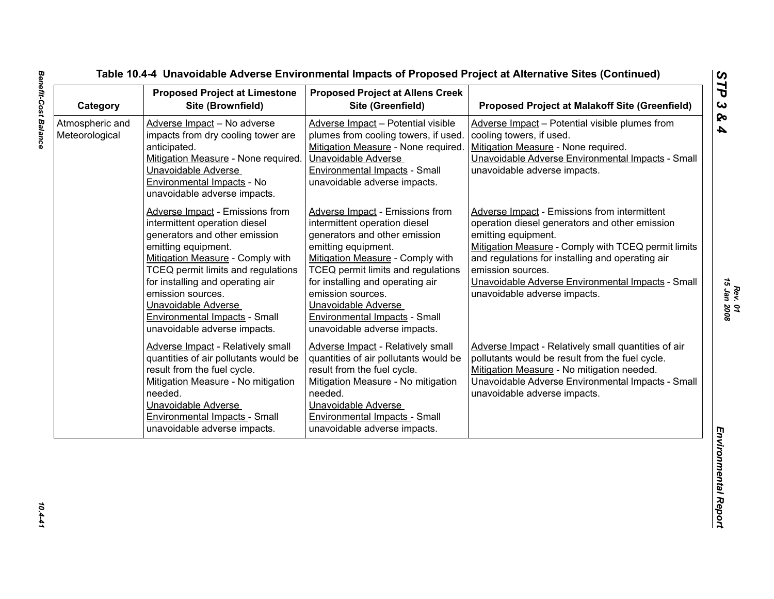| Category                          | <b>Proposed Project at Limestone</b><br>Site (Brownfield)                                                                                                                                                                                                                                                                                                         | <b>Proposed Project at Allens Creek</b><br>Site (Greenfield)                                                                                                                                                                                                                                                                                               | <b>Proposed Project at Malakoff Site (Greenfield)</b>                                                                                                                                                                                                                                                                                             |
|-----------------------------------|-------------------------------------------------------------------------------------------------------------------------------------------------------------------------------------------------------------------------------------------------------------------------------------------------------------------------------------------------------------------|------------------------------------------------------------------------------------------------------------------------------------------------------------------------------------------------------------------------------------------------------------------------------------------------------------------------------------------------------------|---------------------------------------------------------------------------------------------------------------------------------------------------------------------------------------------------------------------------------------------------------------------------------------------------------------------------------------------------|
| Atmospheric and<br>Meteorological | Adverse Impact - No adverse<br>impacts from dry cooling tower are<br>anticipated.<br>Mitigation Measure - None required.<br>Unavoidable Adverse<br>Environmental Impacts - No<br>unavoidable adverse impacts.                                                                                                                                                     | Adverse Impact - Potential visible<br>plumes from cooling towers, if used.<br>Mitigation Measure - None required.<br>Unavoidable Adverse<br>Environmental Impacts - Small<br>unavoidable adverse impacts.                                                                                                                                                  | Adverse Impact - Potential visible plumes from<br>cooling towers, if used.<br>Mitigation Measure - None required.<br>Unavoidable Adverse Environmental Impacts - Small<br>unavoidable adverse impacts.                                                                                                                                            |
|                                   | <b>Adverse Impact - Emissions from</b><br>intermittent operation diesel<br>generators and other emission<br>emitting equipment.<br>Mitigation Measure - Comply with<br>TCEQ permit limits and regulations<br>for installing and operating air<br>emission sources.<br>Unavoidable Adverse<br><b>Environmental Impacts - Small</b><br>unavoidable adverse impacts. | <b>Adverse Impact - Emissions from</b><br>intermittent operation diesel<br>generators and other emission<br>emitting equipment.<br>Mitigation Measure - Comply with<br>TCEQ permit limits and regulations<br>for installing and operating air<br>emission sources.<br>Unavoidable Adverse<br>Environmental Impacts - Small<br>unavoidable adverse impacts. | <b>Adverse Impact - Emissions from intermittent</b><br>operation diesel generators and other emission<br>emitting equipment.<br>Mitigation Measure - Comply with TCEQ permit limits<br>and regulations for installing and operating air<br>emission sources.<br>Unavoidable Adverse Environmental Impacts - Small<br>unavoidable adverse impacts. |
|                                   | <b>Adverse Impact - Relatively small</b><br>quantities of air pollutants would be<br>result from the fuel cycle.<br>Mitigation Measure - No mitigation<br>needed.<br>Unavoidable Adverse<br><b>Environmental Impacts - Small</b><br>unavoidable adverse impacts.                                                                                                  | <b>Adverse Impact - Relatively small</b><br>quantities of air pollutants would be<br>result from the fuel cycle.<br>Mitigation Measure - No mitigation<br>needed.<br><b>Unavoidable Adverse</b><br><b>Environmental Impacts - Small</b><br>unavoidable adverse impacts.                                                                                    | Adverse Impact - Relatively small quantities of air<br>pollutants would be result from the fuel cycle.<br>Mitigation Measure - No mitigation needed.<br>Unavoidable Adverse Environmental Impacts - Small<br>unavoidable adverse impacts.                                                                                                         |